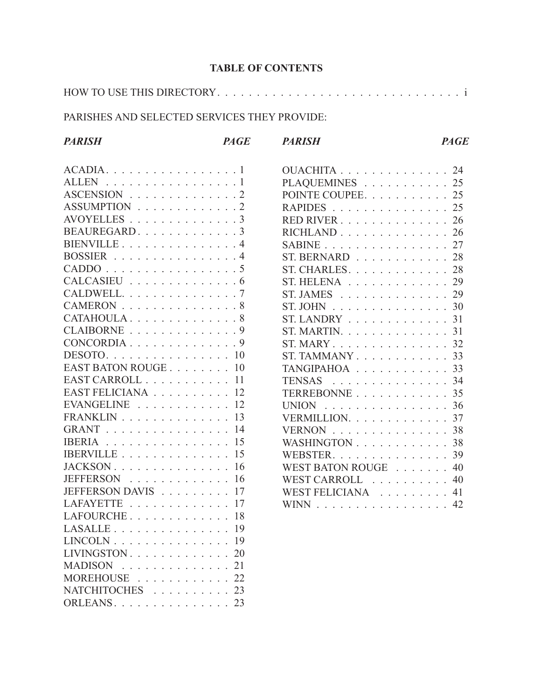## **TABLE OF CONTENTS**

|--|

## PARISHES AND SELECTED SERVICES THEY PROVIDE:

| <b>PARISH</b>                                                                                                                                                                                                                                                                                                                                                                                                                                                                 | <b>PAGE</b> | <b>PARISH</b>                                            | <b>PAGE</b> |
|-------------------------------------------------------------------------------------------------------------------------------------------------------------------------------------------------------------------------------------------------------------------------------------------------------------------------------------------------------------------------------------------------------------------------------------------------------------------------------|-------------|----------------------------------------------------------|-------------|
| $ACADIA.$                                                                                                                                                                                                                                                                                                                                                                                                                                                                     |             | OUACHITA 24                                              |             |
| ALLEN $\ldots$ 1                                                                                                                                                                                                                                                                                                                                                                                                                                                              |             | PLAQUEMINES 25                                           |             |
| ASCENSION 2                                                                                                                                                                                                                                                                                                                                                                                                                                                                   |             | POINTE COUPEE 25                                         |             |
| ASSUMPTION 2                                                                                                                                                                                                                                                                                                                                                                                                                                                                  |             | RAPIDES 25                                               |             |
| AVOYELLES $\ldots \ldots \ldots \ldots \ldots 3$                                                                                                                                                                                                                                                                                                                                                                                                                              |             | RED RIVER 26                                             |             |
| BEAUREGARD3                                                                                                                                                                                                                                                                                                                                                                                                                                                                   |             | $RICHLAND$ 26                                            |             |
| BIENVILLE4                                                                                                                                                                                                                                                                                                                                                                                                                                                                    |             | SABINE $\ldots$ $\ldots$ $\ldots$ $\ldots$ $\ldots$ 27   |             |
| BOSSIER $\ldots$ 4                                                                                                                                                                                                                                                                                                                                                                                                                                                            |             | ST. BERNARD $\ldots$ 28                                  |             |
| CADDO 5                                                                                                                                                                                                                                                                                                                                                                                                                                                                       |             | ST. CHARLES. 28                                          |             |
| CALCASIEU 6                                                                                                                                                                                                                                                                                                                                                                                                                                                                   |             | $ST. HELENA$ 29                                          |             |
| CALDWELL7                                                                                                                                                                                                                                                                                                                                                                                                                                                                     |             | ST. JAMES $\ldots \ldots \ldots \ldots \ldots 29$        |             |
| CAMERON 8                                                                                                                                                                                                                                                                                                                                                                                                                                                                     |             | ST. JOHN $\ldots \ldots \ldots \ldots \ldots 30$         |             |
| CATAHOULA8                                                                                                                                                                                                                                                                                                                                                                                                                                                                    |             | ST. LANDRY $\ldots$ $\ldots$ $\ldots$ $\ldots$ 31        |             |
| CLAIBORNE 9                                                                                                                                                                                                                                                                                                                                                                                                                                                                   |             | ST. MARTIN. 31                                           |             |
| CONCORDIA9                                                                                                                                                                                                                                                                                                                                                                                                                                                                    |             | ST. MARY $\ldots$ $\ldots$ $\ldots$ $\ldots$ $\ldots$ 32 |             |
| $DESOTO. \ldots \ldots \ldots \ldots \ldots 10$                                                                                                                                                                                                                                                                                                                                                                                                                               |             | ST. TAMMANY $\ldots$ $\ldots$ $\ldots$ $\ldots$ 33       |             |
| EAST BATON ROUGE 10                                                                                                                                                                                                                                                                                                                                                                                                                                                           |             | TANGIPAHOA 33                                            |             |
| EAST CARROLL 11                                                                                                                                                                                                                                                                                                                                                                                                                                                               |             | <b>TENSAS</b><br>. 34                                    |             |
| EAST FELICIANA 12                                                                                                                                                                                                                                                                                                                                                                                                                                                             |             | TERREBONNE 35                                            |             |
| EVANGELINE $\ldots$ 12                                                                                                                                                                                                                                                                                                                                                                                                                                                        |             | UNION $\ldots \ldots \ldots \ldots \ldots \ldots 36$     |             |
| $FRANKLIN$ 13                                                                                                                                                                                                                                                                                                                                                                                                                                                                 |             | VERMILLION. 37                                           |             |
| GRANT 14                                                                                                                                                                                                                                                                                                                                                                                                                                                                      |             | VERNON 38                                                |             |
| IBERIA 15                                                                                                                                                                                                                                                                                                                                                                                                                                                                     |             | WASHINGTON 38                                            |             |
| IBERVILLE 15                                                                                                                                                                                                                                                                                                                                                                                                                                                                  |             | WEBSTER. 39                                              |             |
|                                                                                                                                                                                                                                                                                                                                                                                                                                                                               |             | WEST BATON ROUGE 40                                      |             |
| JEFFERSON 16                                                                                                                                                                                                                                                                                                                                                                                                                                                                  |             | WEST CARROLL 40                                          |             |
| JEFFERSON DAVIS 17                                                                                                                                                                                                                                                                                                                                                                                                                                                            |             | WEST FELICIANA 41                                        |             |
| <b>LAFAYETTE</b><br>. 17                                                                                                                                                                                                                                                                                                                                                                                                                                                      |             | WINN $\ldots$ $\ldots$ $\ldots$ $\ldots$ $\ldots$ 42     |             |
| LAFOURCHE $18$                                                                                                                                                                                                                                                                                                                                                                                                                                                                |             |                                                          |             |
| <b>LASALLE</b><br>$\mathcal{L}(\mathcal{L}(\mathcal{L}(\mathcal{L}(\mathcal{L}(\mathcal{L}(\mathcal{L}(\mathcal{L}(\mathcal{L}(\mathcal{L}(\mathcal{L}(\mathcal{L}(\mathcal{L}(\mathcal{L}(\mathcal{L}(\mathcal{L}(\mathcal{L}(\mathcal{L}(\mathcal{L}(\mathcal{L}(\mathcal{L}(\mathcal{L}(\mathcal{L}(\mathcal{L}(\mathcal{L}(\mathcal{L}(\mathcal{L}(\mathcal{L}(\mathcal{L}(\mathcal{L}(\mathcal{L}(\mathcal{L}(\mathcal{L}(\mathcal{L}(\mathcal{L}(\mathcal{L}(\mathcal{$ | -19         |                                                          |             |
| $LINCOLN$ 19                                                                                                                                                                                                                                                                                                                                                                                                                                                                  |             |                                                          |             |
| LIVINGSTON                                                                                                                                                                                                                                                                                                                                                                                                                                                                    | 20          |                                                          |             |
| MADISON 21                                                                                                                                                                                                                                                                                                                                                                                                                                                                    |             |                                                          |             |
| MOREHOUSE                                                                                                                                                                                                                                                                                                                                                                                                                                                                     | 22          |                                                          |             |
| NATCHITOCHES 23                                                                                                                                                                                                                                                                                                                                                                                                                                                               |             |                                                          |             |
| ORLEANS 23                                                                                                                                                                                                                                                                                                                                                                                                                                                                    |             |                                                          |             |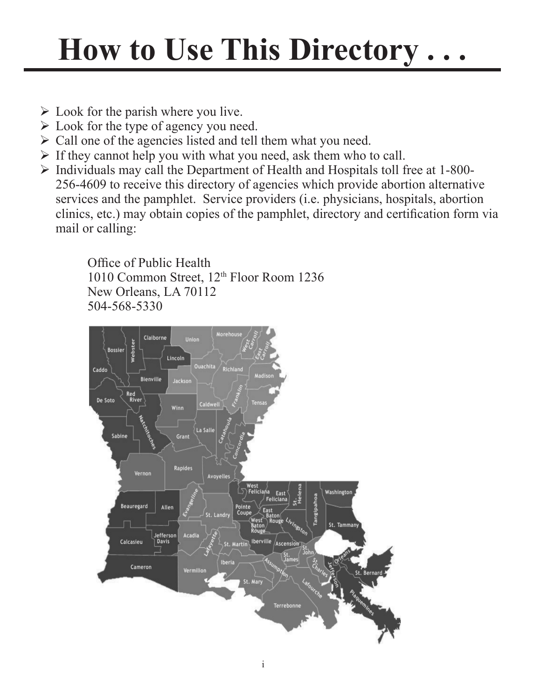# **How to Use This Directory . . .**

- $\triangleright$  Look for the parish where you live.
- $\triangleright$  Look for the type of agency you need.
- $\triangleright$  Call one of the agencies listed and tell them what you need.
- $\triangleright$  If they cannot help you with what you need, ask them who to call.
- $\triangleright$  Individuals may call the Department of Health and Hospitals toll free at 1-800-256-4609 to receive this directory of agencies which provide abortion alternative services and the pamphlet. Service providers (i.e. physicians, hospitals, abortion clinics, etc.) may obtain copies of the pamphlet, directory and certification form via mail or calling:

Office of Public Health 1010 Common Street, 12th Floor Room 1236 New Orleans, LA 70112 504-568-5330

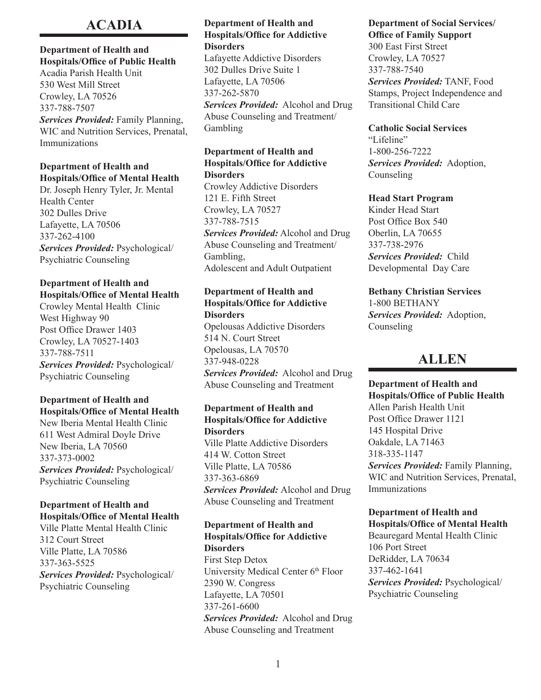## **ACADIA**

## **Department of Health and Hospitals/Office of Public Health**

Acadia Parish Health Unit 530 West Mill Street Crowley, LA 70526 337-788-7507 *Services Provided:* Family Planning, WIC and Nutrition Services, Prenatal, Immunizations

## **Department of Health and Hospitals/Office of Mental Health**

Dr. Joseph Henry Tyler, Jr. Mental Health Center 302 Dulles Drive Lafayette, LA 70506 337-262-4100 *Services Provided:* Psychological/ Psychiatric Counseling

## **Department of Health and Hospitals/Office of Mental Health**

Crowley Mental Health Clinic West Highway 90 Post Office Drawer 1403 Crowley, LA 70527-1403 337-788-7511 *Services Provided:* Psychological/ Psychiatric Counseling

### **Department of Health and Hospitals/Office of Mental Health**

New Iberia Mental Health Clinic 611 West Admiral Doyle Drive New Iberia, LA 70560 337-373-0002 *Services Provided:* Psychological/ Psychiatric Counseling

### **Department of Health and Hospitals/Office of Mental Health**

Ville Platte Mental Health Clinic 312 Court Street Ville Platte, LA 70586 337-363-5525 *Services Provided:* Psychological/ Psychiatric Counseling

## **Department of Health and Hospitals/Office for Addictive Disorders**

Lafayette Addictive Disorders 302 Dulles Drive Suite 1 Lafayette, LA 70506 337-262-5870 *Services Provided:* Alcohol and Drug Abuse Counseling and Treatment/ Gambling

#### **Department of Health and Hospitals/Office for Addictive Disorders**

Crowley Addictive Disorders 121 E. Fifth Street Crowley, LA 70527 337-788-7515 *Services Provided:* Alcohol and Drug Abuse Counseling and Treatment/ Gambling, Adolescent and Adult Outpatient

## **Department of Health and Hospitals/Office for Addictive Disorders**

Opelousas Addictive Disorders 514 N. Court Street Opelousas, LA 70570 337-948-0228

*Services Provided:* Alcohol and Drug Abuse Counseling and Treatment

## **Department of Health and Hospitals/Office for Addictive Disorders**

Ville Platte Addictive Disorders 414 W. Cotton Street Ville Platte, LA 70586 337-363-6869 *Services Provided:* Alcohol and Drug

Abuse Counseling and Treatment

## **Department of Health and Hospitals/Office for Addictive Disorders**

First Step Detox University Medical Center 6<sup>th</sup> Floor 2390 W. Congress Lafayette, LA 70501 337-261-6600 *Services Provided:* Alcohol and Drug Abuse Counseling and Treatment

#### **Department of Social Services/ Office of Family Support**

300 East First Street Crowley, LA 70527 337-788-7540 *Services Provided:* TANF, Food Stamps, Project Independence and Transitional Child Care

### **Catholic Social Services**

"Lifeline" 1-800-256-7222 *Services Provided:* Adoption, Counseling

### **Head Start Program**

Kinder Head Start Post Office Box 540 Oberlin, LA 70655 337-738-2976 *Services Provided:* Child Developmental Day Care

**Bethany Christian Services** 1-800 BETHANY *Services Provided:* Adoption, Counseling

## **ALLEN**

**Department of Health and Hospitals/Office of Public Health** Allen Parish Health Unit Post Office Drawer 1121 145 Hospital Drive Oakdale, LA 71463 318-335-1147 *Services Provided:* Family Planning, WIC and Nutrition Services, Prenatal, Immunizations

## **Department of Health and Hospitals/Office of Mental Health**

Beauregard Mental Health Clinic 106 Port Street DeRidder, LA 70634 337-462-1641 *Services Provided:* Psychological/ Psychiatric Counseling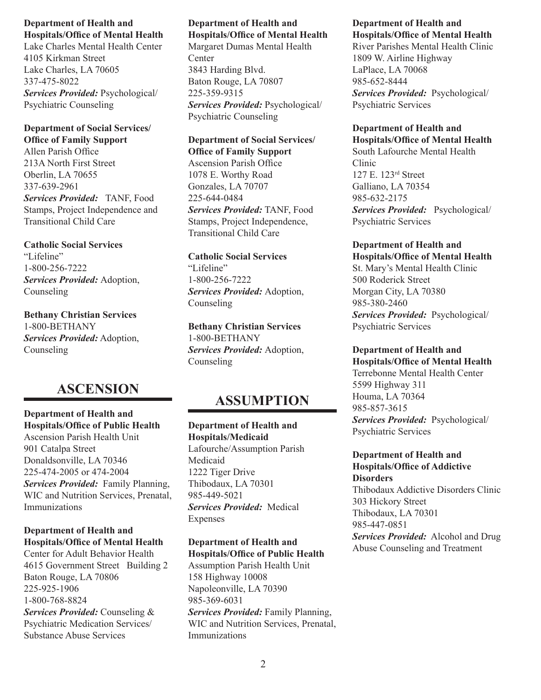Lake Charles Mental Health Center 4105 Kirkman Street Lake Charles, LA 70605 337-475-8022 *Services Provided:* Psychological/ Psychiatric Counseling

## **Department of Social Services/ Office of Family Support**

Allen Parish Office 213A North First Street Oberlin, LA 70655 337-639-2961 *Services Provided:* TANF, Food Stamps, Project Independence and Transitional Child Care

## **Catholic Social Services**

"Lifeline" 1-800-256-7222 *Services Provided:* Adoption, Counseling

**Bethany Christian Services** 1-800-BETHANY *Services Provided:* Adoption, Counseling

## **ASCENSION**

## **Department of Health and Hospitals/Office of Public Health**

Ascension Parish Health Unit 901 Catalpa Street Donaldsonville, LA 70346 225-474-2005 or 474-2004 *Services Provided:* Family Planning, WIC and Nutrition Services, Prenatal, Immunizations

## **Department of Health and Hospitals/Office of Mental Health**

Center for Adult Behavior Health 4615 Government Street Building 2 Baton Rouge, LA 70806 225-925-1906 1-800-768-8824 *Services Provided:* Counseling & Psychiatric Medication Services/ Substance Abuse Services

## **Department of Health and Hospitals/Office of Mental Health**

Margaret Dumas Mental Health **Center** 3843 Harding Blvd. Baton Rouge, LA 70807 225-359-9315 *Services Provided:* Psychological/ Psychiatric Counseling

### **Department of Social Services/ Office of Family Support** Ascension Parish Office 1078 E. Worthy Road Gonzales, LA 70707 225-644-0484 *Services Provided:* TANF, Food

Stamps, Project Independence, Transitional Child Care

## **Catholic Social Services** "Lifeline"

1-800-256-7222 *Services Provided:* Adoption, Counseling

## **Bethany Christian Services** 1-800-BETHANY *Services Provided:* Adoption,

Counseling

## **ASSUMPTION**

## **Department of Health and Hospitals/Medicaid** Lafourche/Assumption Parish Medicaid 1222 Tiger Drive Thibodaux, LA 70301 985-449-5021 *Services Provided:* Medical Expenses

## **Department of Health and Hospitals/Office of Public Health**

Assumption Parish Health Unit 158 Highway 10008 Napoleonville, LA 70390 985-369-6031 *Services Provided:* Family Planning, WIC and Nutrition Services, Prenatal, Immunizations

#### **Department of Health and Hospitals/Office of Mental Health**

River Parishes Mental Health Clinic 1809 W. Airline Highway LaPlace, LA 70068 985-652-8444 *Services Provided:* Psychological/ Psychiatric Services

## **Department of Health and**

**Hospitals/Office of Mental Health** South Lafourche Mental Health Clinic 127 E. 123rd Street Galliano, LA 70354 985-632-2175 *Services Provided:* Psychological/ Psychiatric Services

## **Department of Health and**

**Hospitals/Office of Mental Health** St. Mary's Mental Health Clinic 500 Roderick Street Morgan City, LA 70380 985-380-2460 *Services Provided:* Psychological/ Psychiatric Services

## **Department of Health and**

**Hospitals/Office of Mental Health** Terrebonne Mental Health Center 5599 Highway 311 Houma, LA 70364 985-857-3615 *Services Provided:* Psychological/ Psychiatric Services

### **Department of Health and Hospitals/Office of Addictive Disorders**

Thibodaux Addictive Disorders Clinic 303 Hickory Street Thibodaux, LA 70301 985-447-0851 *Services Provided:* Alcohol and Drug Abuse Counseling and Treatment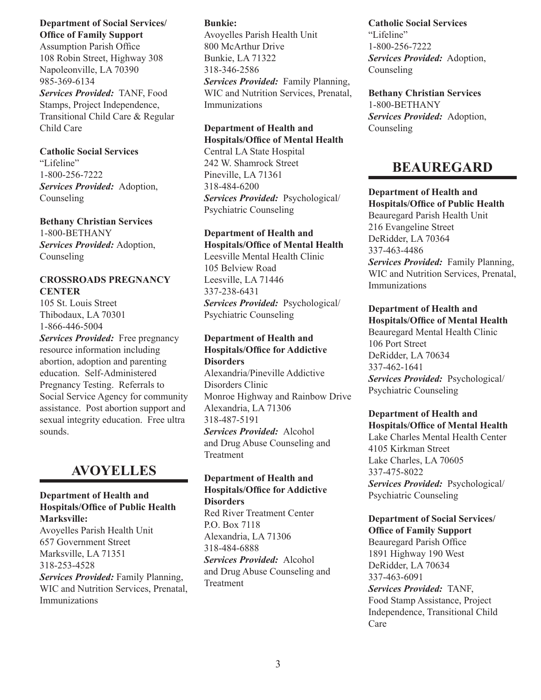### **Department of Social Services/ Office of Family Support**

Assumption Parish Office 108 Robin Street, Highway 308 Napoleonville, LA 70390 985-369-6134

*Services Provided:* TANF, Food Stamps, Project Independence, Transitional Child Care & Regular Child Care

## **Catholic Social Services**

"Lifeline" 1-800-256-7222 *Services Provided:* Adoption, Counseling

## **Bethany Christian Services**

1-800-BETHANY *Services Provided:* Adoption, Counseling

## **CROSSROADS PREGNANCY CENTER**

105 St. Louis Street Thibodaux, LA 70301 1-866-446-5004 *Services Provided:* Free pregnancy resource information including abortion, adoption and parenting education. Self-Administered Pregnancy Testing. Referrals to Social Service Agency for community assistance. Post abortion support and sexual integrity education. Free ultra sounds.

## **AVOYELLES**

### **Department of Health and Hospitals/Office of Public Health Marksville:**

Avoyelles Parish Health Unit 657 Government Street Marksville, LA 71351 318-253-4528 *Services Provided:* Family Planning, WIC and Nutrition Services, Prenatal, Immunizations

## **Bunkie:**

Avoyelles Parish Health Unit 800 McArthur Drive Bunkie, LA 71322 318-346-2586

*Services Provided:* Family Planning, WIC and Nutrition Services, Prenatal, Immunizations

## **Department of Health and Hospitals/Office of Mental Health**

Central LA State Hospital 242 W. Shamrock Street Pineville, LA 71361 318-484-6200 *Services Provided:* Psychological/ Psychiatric Counseling

#### **Department of Health and Hospitals/Office of Mental Health**

Leesville Mental Health Clinic 105 Belview Road Leesville, LA 71446 337-238-6431 *Services Provided:* Psychological/ Psychiatric Counseling

### **Department of Health and Hospitals/Office for Addictive Disorders**

Alexandria/Pineville Addictive Disorders Clinic Monroe Highway and Rainbow Drive Alexandria, LA 71306 318-487-5191 *Services Provided:* Alcohol and Drug Abuse Counseling and

Treatment

#### **Department of Health and Hospitals/Office for Addictive Disorders**

Red River Treatment Center P.O. Box 7118 Alexandria, LA 71306 318-484-6888 *Services Provided:* Alcohol and Drug Abuse Counseling and Treatment

## **Catholic Social Services** "Lifeline" 1-800-256-7222 *Services Provided:* Adoption, Counseling

**Bethany Christian Services** 1-800-BETHANY *Services Provided:* Adoption, Counseling

## **BEAUREGARD**

**Department of Health and Hospitals/Office of Public Health** Beauregard Parish Health Unit 216 Evangeline Street DeRidder, LA 70364 337-463-4486 *Services Provided:* Family Planning, WIC and Nutrition Services, Prenatal, Immunizations

## **Department of Health and Hospitals/Office of Mental Health** Beauregard Mental Health Clinic

106 Port Street DeRidder, LA 70634 337-462-1641 *Services Provided:* Psychological/ Psychiatric Counseling

#### **Department of Health and Hospitals/Office of Mental Health**

Lake Charles Mental Health Center 4105 Kirkman Street Lake Charles, LA 70605 337-475-8022 *Services Provided:* Psychological/ Psychiatric Counseling

### **Department of Social Services/ Office of Family Support**

Beauregard Parish Office 1891 Highway 190 West DeRidder, LA 70634 337-463-6091 *Services Provided:* TANF, Food Stamp Assistance, Project Independence, Transitional Child Care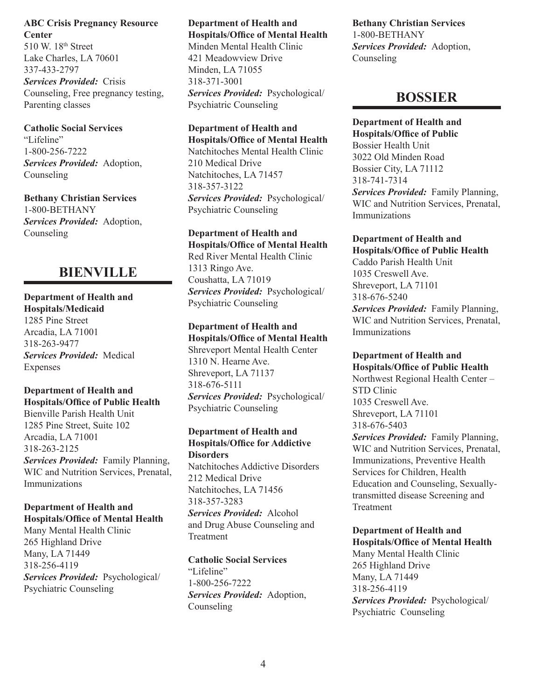**ABC Crisis Pregnancy Resource Center** 510 W. 18<sup>th</sup> Street Lake Charles, LA 70601 337-433-2797 *Services Provided:* Crisis

Counseling, Free pregnancy testing, Parenting classes

## **Catholic Social Services**

"Lifeline" 1-800-256-7222 *Services Provided:* Adoption, Counseling

**Bethany Christian Services** 1-800-BETHANY *Services Provided:* Adoption, Counseling

## **BIENVILLE**

**Department of Health and Hospitals/Medicaid** 1285 Pine Street Arcadia, LA 71001 318-263-9477 *Services Provided:* Medical Expenses

**Department of Health and Hospitals/Office of Public Health** Bienville Parish Health Unit 1285 Pine Street, Suite 102 Arcadia, LA 71001 318-263-2125 *Services Provided:* Family Planning, WIC and Nutrition Services, Prenatal, Immunizations

### **Department of Health and Hospitals/Office of Mental Health**

Many Mental Health Clinic 265 Highland Drive Many, LA 71449 318-256-4119 *Services Provided:* Psychological/ Psychiatric Counseling

**Department of Health and Hospitals/Office of Mental Health** Minden Mental Health Clinic 421 Meadowview Drive Minden, LA 71055 318-371-3001 *Services Provided:* Psychological/ Psychiatric Counseling

## **Department of Health and**

**Hospitals/Office of Mental Health** Natchitoches Mental Health Clinic 210 Medical Drive Natchitoches, LA 71457 318-357-3122 *Services Provided:* Psychological/ Psychiatric Counseling

**Department of Health and Hospitals/Office of Mental Health** Red River Mental Health Clinic 1313 Ringo Ave. Coushatta, LA 71019 *Services Provided:* Psychological/ Psychiatric Counseling

**Department of Health and Hospitals/Office of Mental Health** Shreveport Mental Health Center 1310 N. Hearne Ave. Shreveport, LA 71137 318-676-5111 *Services Provided:* Psychological/ Psychiatric Counseling

## **Department of Health and Hospitals/Office for Addictive Disorders**

Natchitoches Addictive Disorders 212 Medical Drive Natchitoches, LA 71456 318-357-3283 *Services Provided:* Alcohol and Drug Abuse Counseling and Treatment

## **Catholic Social Services**

"Lifeline" 1-800-256-7222 *Services Provided:* Adoption, Counseling

**Bethany Christian Services** 1-800-BETHANY *Services Provided:* Adoption, **Counseling** 

## **BOSSIER**

**Department of Health and Hospitals/Office of Public** Bossier Health Unit 3022 Old Minden Road Bossier City, LA 71112 318-741-7314 *Services Provided:* Family Planning, WIC and Nutrition Services, Prenatal, Immunizations

#### **Department of Health and Hospitals/Office of Public Health**

Caddo Parish Health Unit 1035 Creswell Ave. Shreveport, LA 71101 318-676-5240 *Services Provided:* Family Planning, WIC and Nutrition Services, Prenatal, Immunizations

### **Department of Health and Hospitals/Office of Public Health**

Northwest Regional Health Center – STD Clinic 1035 Creswell Ave. Shreveport, LA 71101 318-676-5403 *Services Provided:* Family Planning, WIC and Nutrition Services, Prenatal, Immunizations, Preventive Health Services for Children, Health Education and Counseling, Sexuallytransmitted disease Screening and Treatment

## **Department of Health and Hospitals/Office of Mental Health** Many Mental Health Clinic 265 Highland Drive Many, LA 71449 318-256-4119 *Services Provided:* Psychological/ Psychiatric Counseling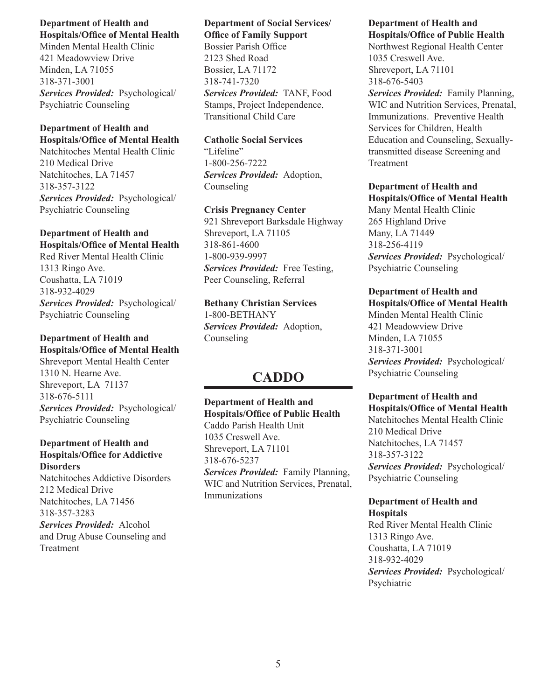Minden Mental Health Clinic 421 Meadowview Drive Minden, LA 71055 318-371-3001 *Services Provided:* Psychological/ Psychiatric Counseling

#### **Department of Health and Hospitals/Office of Mental Health**

Natchitoches Mental Health Clinic 210 Medical Drive Natchitoches, LA 71457 318-357-3122 *Services Provided:* Psychological/ Psychiatric Counseling

### **Department of Health and Hospitals/Office of Mental Health**

Red River Mental Health Clinic 1313 Ringo Ave. Coushatta, LA 71019 318-932-4029 *Services Provided:* Psychological/ Psychiatric Counseling

## **Department of Health and**

**Hospitals/Office of Mental Health** Shreveport Mental Health Center 1310 N. Hearne Ave. Shreveport, LA 71137 318-676-5111 *Services Provided:* Psychological/ Psychiatric Counseling

## **Department of Health and Hospitals/Office for Addictive Disorders** Natchitoches Addictive Disorders

212 Medical Drive Natchitoches, LA 71456 318-357-3283 *Services Provided:* Alcohol and Drug Abuse Counseling and Treatment

#### **Department of Social Services/ Office of Family Support**

Bossier Parish Office 2123 Shed Road Bossier, LA 71172 318-741-7320 *Services Provided:* TANF, Food Stamps, Project Independence, Transitional Child Care

## **Catholic Social Services**

"Lifeline" 1-800-256-7222 *Services Provided:* Adoption, Counseling

### **Crisis Pregnancy Center** 921 Shreveport Barksdale Highway Shreveport, LA 71105 318-861-4600 1-800-939-9997 *Services Provided:* Free Testing, Peer Counseling, Referral

**Bethany Christian Services** 1-800-BETHANY *Services Provided:* Adoption, Counseling

## **CADDO**

## **Department of Health and Hospitals/Office of Public Health** Caddo Parish Health Unit 1035 Creswell Ave. Shreveport, LA 71101 318-676-5237 *Services Provided:* Family Planning, WIC and Nutrition Services, Prenatal, Immunizations

## **Department of Health and Hospitals/Office of Public Health**

Northwest Regional Health Center 1035 Creswell Ave. Shreveport, LA 71101 318-676-5403

*Services Provided:* Family Planning, WIC and Nutrition Services, Prenatal, Immunizations. Preventive Health Services for Children, Health Education and Counseling, Sexuallytransmitted disease Screening and Treatment

## **Department of Health and Hospitals/Office of Mental Health**

Many Mental Health Clinic 265 Highland Drive Many, LA 71449 318-256-4119 *Services Provided:* Psychological/ Psychiatric Counseling

#### **Department of Health and Hospitals/Office of Mental Health**

Minden Mental Health Clinic 421 Meadowview Drive Minden, LA 71055 318-371-3001 *Services Provided:* Psychological/ Psychiatric Counseling

## **Department of Health and Hospitals/Office of Mental Health**

Natchitoches Mental Health Clinic 210 Medical Drive Natchitoches, LA 71457 318-357-3122 *Services Provided:* Psychological/ Psychiatric Counseling

#### **Department of Health and Hospitals**

Red River Mental Health Clinic 1313 Ringo Ave. Coushatta, LA 71019 318-932-4029 *Services Provided:* Psychological/ Psychiatric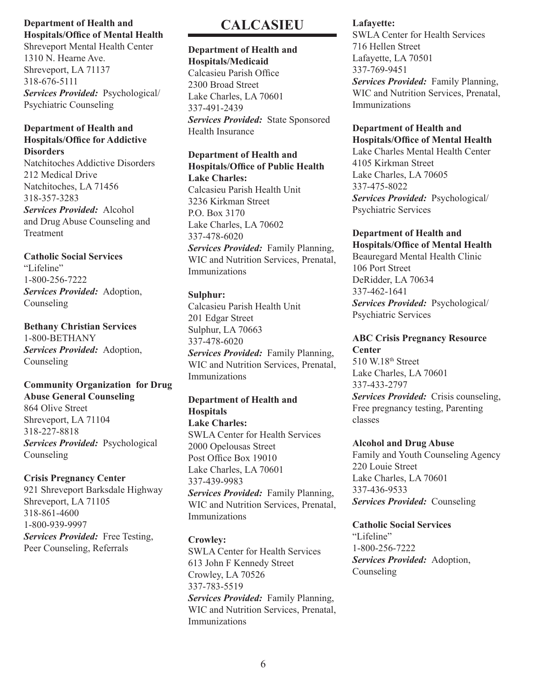Shreveport Mental Health Center 1310 N. Hearne Ave. Shreveport, LA 71137 318-676-5111 *Services Provided:* Psychological/ Psychiatric Counseling

#### **Department of Health and Hospitals/Office for Addictive Disorders**

Natchitoches Addictive Disorders 212 Medical Drive Natchitoches, LA 71456 318-357-3283 *Services Provided:* Alcohol and Drug Abuse Counseling and Treatment

**Catholic Social Services** "Lifeline" 1-800-256-7222 *Services Provided:* Adoption, Counseling

**Bethany Christian Services** 1-800-BETHANY *Services Provided:* Adoption, Counseling

## **Community Organization for Drug Abuse General Counseling**

864 Olive Street Shreveport, LA 71104 318-227-8818 *Services Provided:* Psychological Counseling

## **Crisis Pregnancy Center**

921 Shreveport Barksdale Highway Shreveport, LA 71105 318-861-4600 1-800-939-9997 *Services Provided:* Free Testing, Peer Counseling, Referrals

## **CALCASIEU**

#### **Department of Health and Hospitals/Medicaid**

Calcasieu Parish Office 2300 Broad Street Lake Charles, LA 70601 337-491-2439 *Services Provided:* State Sponsored Health Insurance

#### **Department of Health and Hospitals/Office of Public Health Lake Charles:**

Calcasieu Parish Health Unit 3236 Kirkman Street P.O. Box 3170 Lake Charles, LA 70602 337-478-6020 *Services Provided:* Family Planning, WIC and Nutrition Services, Prenatal, Immunizations

## **Sulphur:**

Calcasieu Parish Health Unit 201 Edgar Street Sulphur, LA 70663 337-478-6020 *Services Provided:* Family Planning, WIC and Nutrition Services, Prenatal, Immunizations

## **Department of Health and Hospitals**

**Lake Charles:** SWLA Center for Health Services 2000 Opelousas Street Post Office Box 19010 Lake Charles, LA 70601 337-439-9983 *Services Provided:* Family Planning,

WIC and Nutrition Services, Prenatal, Immunizations

## **Crowley:**

SWLA Center for Health Services 613 John F Kennedy Street Crowley, LA 70526 337-783-5519 *Services Provided:* Family Planning, WIC and Nutrition Services, Prenatal, Immunizations

## **Lafayette:**

SWLA Center for Health Services 716 Hellen Street Lafayette, LA 70501 337-769-9451 *Services Provided:* Family Planning, WIC and Nutrition Services, Prenatal, Immunizations

### **Department of Health and Hospitals/Office of Mental Health**

Lake Charles Mental Health Center 4105 Kirkman Street Lake Charles, LA 70605 337-475-8022 *Services Provided:* Psychological/ Psychiatric Services

## **Department of Health and**

**Hospitals/Office of Mental Health** Beauregard Mental Health Clinic 106 Port Street DeRidder, LA 70634 337-462-1641 *Services Provided:* Psychological/ Psychiatric Services

#### **ABC Crisis Pregnancy Resource Center**

510 W.18th Street Lake Charles, LA 70601 337-433-2797 *Services Provided:* Crisis counseling, Free pregnancy testing, Parenting classes

## **Alcohol and Drug Abuse**

Family and Youth Counseling Agency 220 Louie Street Lake Charles, LA 70601 337-436-9533 *Services Provided:* Counseling

**Catholic Social Services** "Lifeline" 1-800-256-7222 *Services Provided:* Adoption, Counseling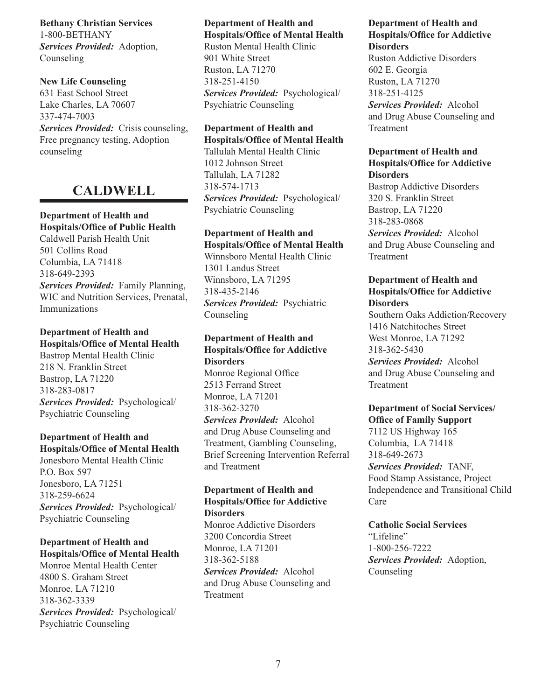**Bethany Christian Services** 1-800-BETHANY *Services Provided:* Adoption, Counseling

**New Life Counseling** 631 East School Street Lake Charles, LA 70607 337-474-7003 *Services Provided:* Crisis counseling, Free pregnancy testing, Adoption counseling

## **CALDWELL**

#### **Department of Health and Hospitals/Office of Public Health**

Caldwell Parish Health Unit 501 Collins Road Columbia, LA 71418 318-649-2393 *Services Provided:* Family Planning, WIC and Nutrition Services, Prenatal, Immunizations

## **Department of Health and Hospitals/Office of Mental Health**

Bastrop Mental Health Clinic 218 N. Franklin Street Bastrop, LA 71220 318-283-0817 *Services Provided:* Psychological/ Psychiatric Counseling

## **Department of Health and Hospitals/Office of Mental Health**

Jonesboro Mental Health Clinic P.O. Box 597 Jonesboro, LA 71251 318-259-6624 *Services Provided:* Psychological/ Psychiatric Counseling

## **Department of Health and Hospitals/Office of Mental Health**

Monroe Mental Health Center 4800 S. Graham Street Monroe, LA 71210 318-362-3339 *Services Provided:* Psychological/ Psychiatric Counseling

## **Department of Health and Hospitals/Office of Mental Health**

Ruston Mental Health Clinic 901 White Street Ruston, LA 71270 318-251-4150 *Services Provided:* Psychological/ Psychiatric Counseling

### **Department of Health and Hospitals/Office of Mental Health**

Tallulah Mental Health Clinic 1012 Johnson Street Tallulah, LA 71282 318-574-1713 *Services Provided:* Psychological/ Psychiatric Counseling

## **Department of Health and Hospitals/Office of Mental Health**

Winnsboro Mental Health Clinic 1301 Landus Street Winnsboro, LA 71295 318-435-2146 *Services Provided:* Psychiatric Counseling

## **Department of Health and Hospitals/Office for Addictive Disorders** Monroe Regional Office

2513 Ferrand Street Monroe, LA 71201 318-362-3270 *Services Provided:* Alcohol and Drug Abuse Counseling and Treatment, Gambling Counseling, Brief Screening Intervention Referral and Treatment

## **Department of Health and Hospitals/Office for Addictive Disorders**

Monroe Addictive Disorders 3200 Concordia Street Monroe, LA 71201 318-362-5188 *Services Provided:* Alcohol and Drug Abuse Counseling and Treatment

#### **Department of Health and Hospitals/Office for Addictive Disorders**

Ruston Addictive Disorders 602 E. Georgia Ruston, LA 71270 318-251-4125 *Services Provided:* Alcohol and Drug Abuse Counseling and Treatment

## **Department of Health and Hospitals/Office for Addictive Disorders**

Bastrop Addictive Disorders 320 S. Franklin Street Bastrop, LA 71220 318-283-0868 *Services Provided:* Alcohol and Drug Abuse Counseling and Treatment

## **Department of Health and Hospitals/Office for Addictive Disorders**

Southern Oaks Addiction/Recovery 1416 Natchitoches Street West Monroe, LA 71292 318-362-5430 *Services Provided:* Alcohol and Drug Abuse Counseling and Treatment

## **Department of Social Services/ Office of Family Support** 7112 US Highway 165 Columbia, LA 71418 318-649-2673 *Services Provided:* TANF, Food Stamp Assistance, Project Independence and Transitional Child

Care

**Catholic Social Services** "Lifeline" 1-800-256-7222 *Services Provided:* Adoption, Counseling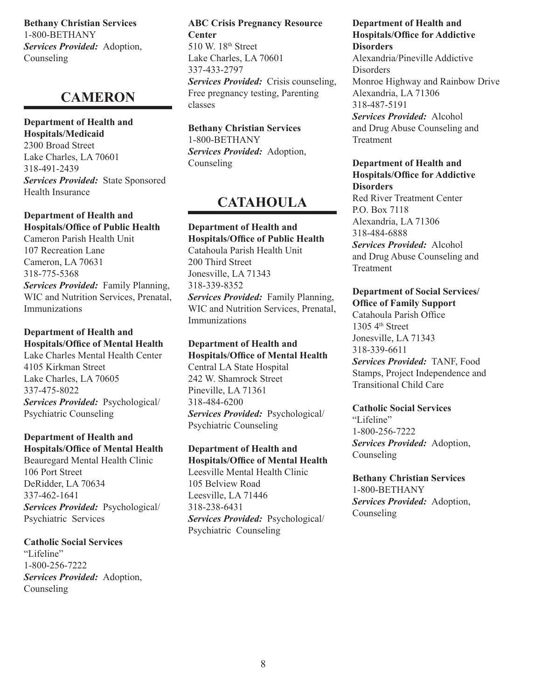**Bethany Christian Services** 1-800-BETHANY *Services Provided:* Adoption, Counseling

## **CAMERON**

**Department of Health and Hospitals/Medicaid**

2300 Broad Street Lake Charles, LA 70601 318-491-2439 *Services Provided:* State Sponsored Health Insurance

## **Department of Health and Hospitals/Office of Public Health**

Cameron Parish Health Unit 107 Recreation Lane Cameron, LA 70631 318-775-5368 *Services Provided:* Family Planning, WIC and Nutrition Services, Prenatal, Immunizations

## **Department of Health and Hospitals/Office of Mental Health**

Lake Charles Mental Health Center 4105 Kirkman Street Lake Charles, LA 70605 337-475-8022 *Services Provided:* Psychological/ Psychiatric Counseling

## **Department of Health and Hospitals/Office of Mental Health**

Beauregard Mental Health Clinic 106 Port Street DeRidder, LA 70634 337-462-1641 *Services Provided:* Psychological/ Psychiatric Services

**Catholic Social Services** "Lifeline" 1-800-256-7222 *Services Provided:* Adoption, Counseling

**ABC Crisis Pregnancy Resource Center** 510 W. 18<sup>th</sup> Street Lake Charles, LA 70601 337-433-2797 *Services Provided:* Crisis counseling, Free pregnancy testing, Parenting classes

**Bethany Christian Services** 1-800-BETHANY *Services Provided:* Adoption, Counseling

## **CATAHOULA**

**Department of Health and Hospitals/Office of Public Health** Catahoula Parish Health Unit 200 Third Street Jonesville, LA 71343 318-339-8352 *Services Provided:* Family Planning, WIC and Nutrition Services, Prenatal, Immunizations

**Department of Health and Hospitals/Office of Mental Health** Central LA State Hospital 242 W. Shamrock Street Pineville, LA 71361 318-484-6200 *Services Provided:* Psychological/ Psychiatric Counseling

**Department of Health and Hospitals/Office of Mental Health** Leesville Mental Health Clinic 105 Belview Road Leesville, LA 71446 318-238-6431 *Services Provided:* Psychological/ Psychiatric Counseling

**Department of Health and Hospitals/Office for Addictive Disorders** Alexandria/Pineville Addictive Disorders Monroe Highway and Rainbow Drive Alexandria, LA 71306 318-487-5191 *Services Provided:* Alcohol

and Drug Abuse Counseling and **Treatment** 

#### **Department of Health and Hospitals/Office for Addictive Disorders** Red River Treatment Center

P.O. Box 7118 Alexandria, LA 71306 318-484-6888 *Services Provided:* Alcohol and Drug Abuse Counseling and Treatment

**Department of Social Services/ Office of Family Support** Catahoula Parish Office 1305  $4<sup>th</sup>$  Street Jonesville, LA 71343 318-339-6611 *Services Provided:* TANF, Food Stamps, Project Independence and Transitional Child Care

**Catholic Social Services** "Lifeline" 1-800-256-7222 *Services Provided:* Adoption, **Counseling** 

**Bethany Christian Services** 1-800-BETHANY *Services Provided:* Adoption, Counseling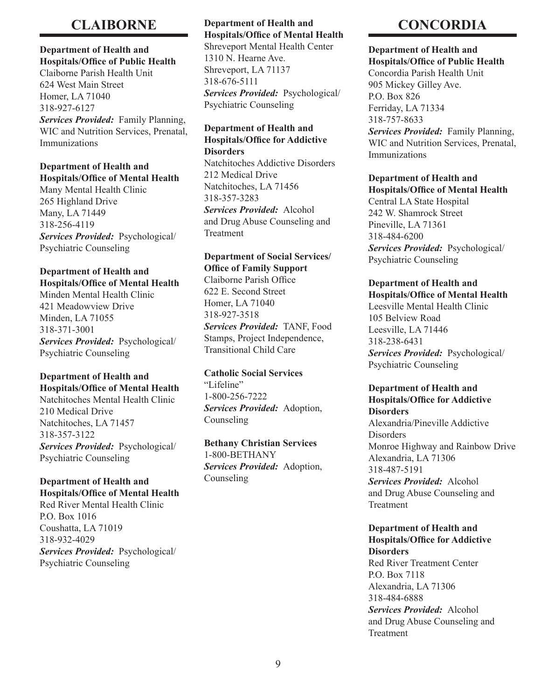## **CLAIBORNE**

#### **Department of Health and Hospitals/Office of Public Health**

Claiborne Parish Health Unit 624 West Main Street Homer, LA 71040 318-927-6127 *Services Provided:* Family Planning, WIC and Nutrition Services, Prenatal, Immunizations

#### **Department of Health and Hospitals/Office of Mental Health**

Many Mental Health Clinic 265 Highland Drive Many, LA 71449 318-256-4119 *Services Provided:* Psychological/ Psychiatric Counseling

## **Department of Health and Hospitals/Office of Mental Health**

Minden Mental Health Clinic 421 Meadowview Drive Minden, LA 71055 318-371-3001 *Services Provided:* Psychological/ Psychiatric Counseling

### **Department of Health and Hospitals/Office of Mental Health**

Natchitoches Mental Health Clinic 210 Medical Drive Natchitoches, LA 71457 318-357-3122 *Services Provided:* Psychological/ Psychiatric Counseling

## **Department of Health and Hospitals/Office of Mental Health**

Red River Mental Health Clinic P.O. Box 1016 Coushatta, LA 71019 318-932-4029 *Services Provided:* Psychological/ Psychiatric Counseling

## **Department of Health and Hospitals/Office of Mental Health**

Shreveport Mental Health Center 1310 N. Hearne Ave. Shreveport, LA 71137 318-676-5111 *Services Provided:* Psychological/ Psychiatric Counseling

### **Department of Health and Hospitals/Office for Addictive Disorders**

Natchitoches Addictive Disorders 212 Medical Drive Natchitoches, LA 71456 318-357-3283 *Services Provided:* Alcohol and Drug Abuse Counseling and Treatment

## **Department of Social Services/ Office of Family Support**

Claiborne Parish Office 622 E. Second Street Homer, LA 71040 318-927-3518 *Services Provided:* TANF, Food Stamps, Project Independence, Transitional Child Care

## **Catholic Social Services**

"Lifeline" 1-800-256-7222 *Services Provided:* Adoption, Counseling

## **Bethany Christian Services**

1-800-BETHANY *Services Provided:* Adoption, Counseling

## **CONCORDIA**

#### **Department of Health and Hospitals/Office of Public Health**

Concordia Parish Health Unit 905 Mickey Gilley Ave. P.O. Box 826 Ferriday, LA 71334 318-757-8633 *Services Provided:* Family Planning, WIC and Nutrition Services, Prenatal, Immunizations

## **Department of Health and Hospitals/Office of Mental Health**

Central LA State Hospital 242 W. Shamrock Street Pineville, LA 71361 318-484-6200 *Services Provided:* Psychological/ Psychiatric Counseling

## **Department of Health and Hospitals/Office of Mental Health**

Leesville Mental Health Clinic 105 Belview Road Leesville, LA 71446 318-238-6431 *Services Provided:* Psychological/ Psychiatric Counseling

### **Department of Health and Hospitals/Office for Addictive Disorders**

Alexandria/Pineville Addictive Disorders Monroe Highway and Rainbow Drive Alexandria, LA 71306 318-487-5191

*Services Provided:* Alcohol and Drug Abuse Counseling and Treatment

## **Department of Health and Hospitals/Office for Addictive Disorders**

Red River Treatment Center P.O. Box 7118 Alexandria, LA 71306 318-484-6888 *Services Provided:* Alcohol and Drug Abuse Counseling and Treatment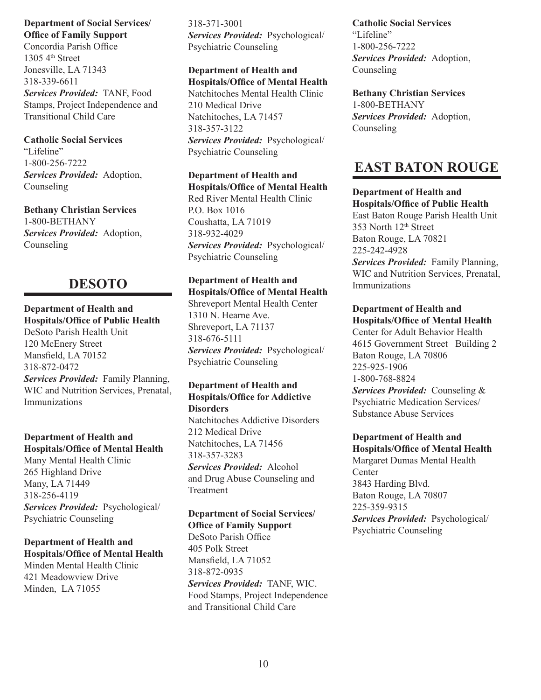**Department of Social Services/ Office of Family Support**

Concordia Parish Office  $13054$ <sup>th</sup> Street Jonesville, LA 71343 318-339-6611 *Services Provided:* TANF, Food Stamps, Project Independence and Transitional Child Care

## **Catholic Social Services** "Lifeline" 1-800-256-7222 *Services Provided:* Adoption,

Counseling

**Bethany Christian Services** 1-800-BETHANY *Services Provided:* Adoption, Counseling

## **DESOTO**

## **Department of Health and Hospitals/Office of Public Health**

DeSoto Parish Health Unit 120 McEnery Street Mansfield, LA 70152 318-872-0472 *Services Provided:* Family Planning, WIC and Nutrition Services, Prenatal, Immunizations

## **Department of Health and Hospitals/Office of Mental Health**

Many Mental Health Clinic 265 Highland Drive Many, LA 71449 318-256-4119 *Services Provided:* Psychological/ Psychiatric Counseling

## **Department of Health and Hospitals/Office of Mental Health**

Minden Mental Health Clinic 421 Meadowview Drive Minden, LA 71055

318-371-3001 *Services Provided:* Psychological/ Psychiatric Counseling

#### **Department of Health and Hospitals/Office of Mental Health**

Natchitoches Mental Health Clinic 210 Medical Drive Natchitoches, LA 71457 318-357-3122 *Services Provided:* Psychological/ Psychiatric Counseling

**Department of Health and Hospitals/Office of Mental Health** Red River Mental Health Clinic P.O. Box 1016 Coushatta, LA 71019 318-932-4029 *Services Provided:* Psychological/ Psychiatric Counseling

## **Department of Health and Hospitals/Office of Mental Health**

Shreveport Mental Health Center 1310 N. Hearne Ave. Shreveport, LA 71137 318-676-5111 *Services Provided:* Psychological/ Psychiatric Counseling

#### **Department of Health and Hospitals/Office for Addictive Disorders**

Natchitoches Addictive Disorders 212 Medical Drive Natchitoches, LA 71456 318-357-3283 *Services Provided:* Alcohol and Drug Abuse Counseling and Treatment

## **Department of Social Services/ Office of Family Support**

DeSoto Parish Office 405 Polk Street Mansfield, LA 71052 318-872-0935 *Services Provided:* TANF, WIC. Food Stamps, Project Independence and Transitional Child Care

**Catholic Social Services** "Lifeline" 1-800-256-7222 *Services Provided:* Adoption, Counseling

**Bethany Christian Services** 1-800-BETHANY *Services Provided:* Adoption, Counseling

## **EAST BATON ROUGE**

**Department of Health and Hospitals/Office of Public Health** East Baton Rouge Parish Health Unit 353 North 12th Street Baton Rouge, LA 70821 225-242-4928

*Services Provided:* Family Planning, WIC and Nutrition Services, Prenatal, **Immunizations** 

**Department of Health and Hospitals/Office of Mental Health** Center for Adult Behavior Health 4615 Government Street Building 2 Baton Rouge, LA 70806 225-925-1906 1-800-768-8824 *Services Provided:* Counseling & Psychiatric Medication Services/ Substance Abuse Services

## **Department of Health and Hospitals/Office of Mental Health**

Margaret Dumas Mental Health **Center** 3843 Harding Blvd. Baton Rouge, LA 70807 225-359-9315 *Services Provided:* Psychological/ Psychiatric Counseling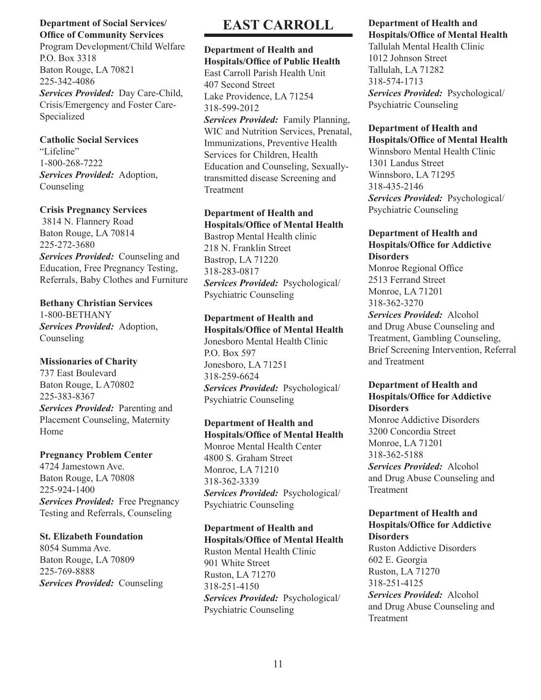#### **Department of Social Services/ Office of Community Services**

Program Development/Child Welfare P.O. Box 3318 Baton Rouge, LA 70821 225-342-4086 *Services Provided:* Day Care-Child, Crisis/Emergency and Foster Care-Specialized

## **Catholic Social Services**

"Lifeline" 1-800-268-7222 *Services Provided:* Adoption, Counseling

## **Crisis Pregnancy Services**

 3814 N. Flannery Road Baton Rouge, LA 70814 225-272-3680

*Services Provided:* Counseling and Education, Free Pregnancy Testing, Referrals, Baby Clothes and Furniture

**Bethany Christian Services** 1-800-BETHANY *Services Provided:* Adoption, Counseling

## **Missionaries of Charity**

737 East Boulevard Baton Rouge, L A70802 225-383-8367 *Services Provided:* Parenting and Placement Counseling, Maternity Home

## **Pregnancy Problem Center**

4724 Jamestown Ave. Baton Rouge, LA 70808 225-924-1400 *Services Provided:* Free Pregnancy Testing and Referrals, Counseling

## **St. Elizabeth Foundation**

8054 Summa Ave. Baton Rouge, LA 70809 225-769-8888 *Services Provided:* Counseling

## **EAST CARROLL**

**Department of Health and Hospitals/Office of Public Health** East Carroll Parish Health Unit 407 Second Street Lake Providence, LA 71254 318-599-2012 *Services Provided:* Family Planning, WIC and Nutrition Services, Prenatal, Immunizations, Preventive Health Services for Children, Health Education and Counseling, Sexuallytransmitted disease Screening and **Treatment** 

## **Department of Health and Hospitals/Office of Mental Health**

Bastrop Mental Health clinic 218 N. Franklin Street Bastrop, LA 71220 318-283-0817 *Services Provided:* Psychological/ Psychiatric Counseling

### **Department of Health and Hospitals/Office of Mental Health**

Jonesboro Mental Health Clinic P.O. Box 597 Jonesboro, LA 71251 318-259-6624 *Services Provided:* Psychological/ Psychiatric Counseling

## **Department of Health and Hospitals/Office of Mental Health**

Monroe Mental Health Center 4800 S. Graham Street Monroe, LA 71210 318-362-3339 *Services Provided:* Psychological/ Psychiatric Counseling

## **Department of Health and Hospitals/Office of Mental Health**

Ruston Mental Health Clinic 901 White Street Ruston, LA 71270 318-251-4150 *Services Provided:* Psychological/ Psychiatric Counseling

## **Department of Health and Hospitals/Office of Mental Health**

Tallulah Mental Health Clinic 1012 Johnson Street Tallulah, LA 71282 318-574-1713 *Services Provided:* Psychological/ Psychiatric Counseling

#### **Department of Health and Hospitals/Office of Mental Health**

Winnsboro Mental Health Clinic 1301 Landus Street Winnsboro, LA 71295 318-435-2146 *Services Provided:* Psychological/ Psychiatric Counseling

## **Department of Health and Hospitals/Office for Addictive Disorders**

Monroe Regional Office 2513 Ferrand Street Monroe, LA 71201 318-362-3270

*Services Provided:* Alcohol and Drug Abuse Counseling and Treatment, Gambling Counseling, Brief Screening Intervention, Referral and Treatment

## **Department of Health and Hospitals/Office for Addictive Disorders**

Monroe Addictive Disorders 3200 Concordia Street Monroe, LA 71201 318-362-5188 *Services Provided:* Alcohol and Drug Abuse Counseling and Treatment

### **Department of Health and Hospitals/Office for Addictive Disorders**

Ruston Addictive Disorders 602 E. Georgia Ruston, LA 71270 318-251-4125 *Services Provided:* Alcohol and Drug Abuse Counseling and Treatment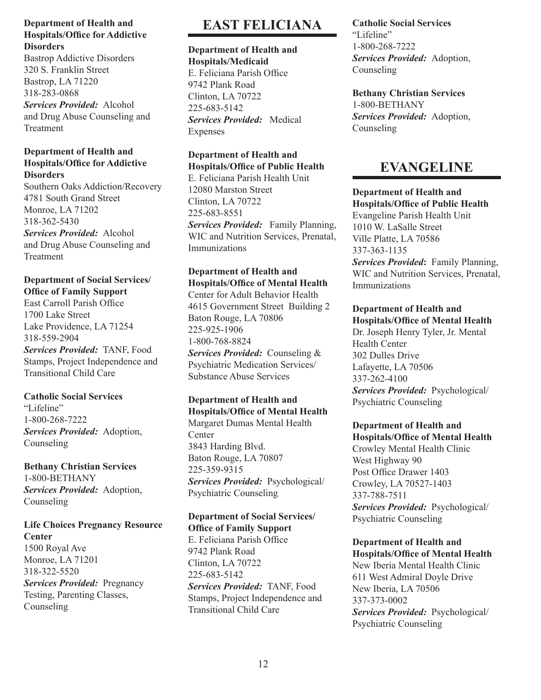Bastrop Addictive Disorders 320 S. Franklin Street Bastrop, LA 71220 318-283-0868 *Services Provided:* Alcohol and Drug Abuse Counseling and Treatment

### **Department of Health and Hospitals/Office for Addictive Disorders**

Southern Oaks Addiction/Recovery 4781 South Grand Street Monroe, LA 71202 318-362-5430 *Services Provided:* Alcohol and Drug Abuse Counseling and Treatment

## **Department of Social Services/ Office of Family Support**

East Carroll Parish Office 1700 Lake Street Lake Providence, LA 71254 318-559-2904 *Services Provided:* TANF, Food Stamps, Project Independence and Transitional Child Care

## **Catholic Social Services**

"Lifeline" 1-800-268-7222 *Services Provided:* Adoption, Counseling

## **Bethany Christian Services** 1-800-BETHANY *Services Provided:* Adoption, Counseling

## **Life Choices Pregnancy Resource Center**

1500 Royal Ave Monroe, LA 71201 318-322-5520 *Services Provided:* Pregnancy Testing, Parenting Classes, Counseling

## **EAST FELICIANA**

#### **Department of Health and Hospitals/Medicaid**

E. Feliciana Parish Office 9742 Plank Road Clinton, LA 70722 225-683-5142 *Services Provided:* Medical Expenses

## **Department of Health and Hospitals/Office of Public Health**

E. Feliciana Parish Health Unit 12080 Marston Street Clinton, LA 70722 225-683-8551 *Services Provided:* Family Planning, WIC and Nutrition Services, Prenatal, Immunizations

## **Department of Health and Hospitals/Office of Mental Health**

Center for Adult Behavior Health 4615 Government Street Building 2 Baton Rouge, LA 70806 225-925-1906 1-800-768-8824 *Services Provided:* Counseling & Psychiatric Medication Services/ Substance Abuse Services

#### **Department of Health and Hospitals/Office of Mental Health**

Margaret Dumas Mental Health **Center** 3843 Harding Blvd. Baton Rouge, LA 70807 225-359-9315 *Services Provided:* Psychological/ Psychiatric Counseling

#### **Department of Social Services/ Office of Family Support**

E. Feliciana Parish Office 9742 Plank Road Clinton, LA 70722 225-683-5142 *Services Provided:* TANF, Food Stamps, Project Independence and Transitional Child Care

## **Catholic Social Services** "Lifeline" 1-800-268-7222 *Services Provided:* Adoption, Counseling

**Bethany Christian Services** 1-800-BETHANY *Services Provided:* Adoption, Counseling

## **EVANGELINE**

**Department of Health and Hospitals/Office of Public Health** Evangeline Parish Health Unit 1010 W. LaSalle Street Ville Platte, LA 70586 337-363-1135 *Services Provided***:** Family Planning, WIC and Nutrition Services, Prenatal, **Immunizations** 

**Department of Health and Hospitals/Office of Mental Health** Dr. Joseph Henry Tyler, Jr. Mental Health Center 302 Dulles Drive Lafayette, LA 70506 337-262-4100 *Services Provided:* Psychological/ Psychiatric Counseling

## **Department of Health and Hospitals/Office of Mental Health** Crowley Mental Health Clinic

West Highway 90 Post Office Drawer 1403 Crowley, LA 70527-1403 337-788-7511 *Services Provided:* Psychological/ Psychiatric Counseling

## **Department of Health and Hospitals/Office of Mental Health**

New Iberia Mental Health Clinic 611 West Admiral Doyle Drive New Iberia, LA 70506 337-373-0002 *Services Provided:* Psychological/ Psychiatric Counseling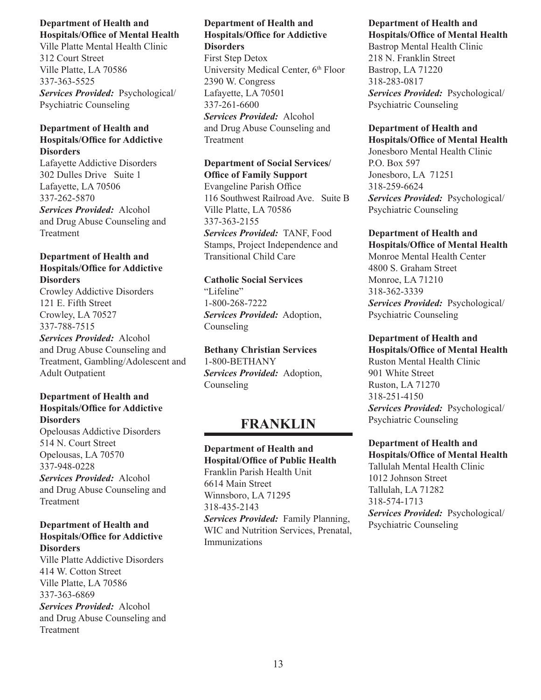Ville Platte Mental Health Clinic 312 Court Street Ville Platte, LA 70586 337-363-5525 *Services Provided:* Psychological/ Psychiatric Counseling

#### **Department of Health and Hospitals/Office for Addictive Disorders**

Lafayette Addictive Disorders 302 Dulles Drive Suite 1 Lafayette, LA 70506 337-262-5870 *Services Provided:* Alcohol and Drug Abuse Counseling and Treatment

## **Department of Health and Hospitals/Office for Addictive Disorders**

Crowley Addictive Disorders 121 E. Fifth Street Crowley, LA 70527 337-788-7515 *Services Provided:* Alcohol and Drug Abuse Counseling and Treatment, Gambling/Adolescent and Adult Outpatient

## **Department of Health and Hospitals/Office for Addictive Disorders**

Opelousas Addictive Disorders 514 N. Court Street Opelousas, LA 70570 337-948-0228 *Services Provided:* Alcohol

and Drug Abuse Counseling and Treatment

## **Department of Health and Hospitals/Office for Addictive Disorders**

Ville Platte Addictive Disorders 414 W. Cotton Street Ville Platte, LA 70586 337-363-6869

*Services Provided:* Alcohol and Drug Abuse Counseling and **Treatment** 

## **Department of Health and Hospitals/Office for Addictive Disorders**

First Step Detox University Medical Center, 6<sup>th</sup> Floor 2390 W. Congress Lafayette, LA 70501 337-261-6600 *Services Provided:* Alcohol and Drug Abuse Counseling and Treatment

## **Department of Social Services/ Office of Family Support** Evangeline Parish Office 116 Southwest Railroad Ave. Suite B Ville Platte, LA 70586 337-363-2155 *Services Provided:* TANF, Food Stamps, Project Independence and Transitional Child Care

### **Catholic Social Services** "Lifeline" 1-800-268-7222 *Services Provided:* Adoption, Counseling

**Bethany Christian Services** 1-800-BETHANY *Services Provided:* Adoption, Counseling

## **FRANKLIN**

**Department of Health and Hospital/Office of Public Health** Franklin Parish Health Unit 6614 Main Street Winnsboro, LA 71295 318-435-2143 *Services Provided:* Family Planning, WIC and Nutrition Services, Prenatal, Immunizations

#### **Department of Health and Hospitals/Office of Mental Health**

Bastrop Mental Health Clinic 218 N. Franklin Street Bastrop, LA 71220 318-283-0817 *Services Provided:* Psychological/ Psychiatric Counseling

## **Department of Health and**

**Hospitals/Office of Mental Health** Jonesboro Mental Health Clinic P.O. Box 597 Jonesboro, LA 71251 318-259-6624 *Services Provided:* Psychological/ Psychiatric Counseling

#### **Department of Health and Hospitals/Office of Mental Health** Monroe Mental Health Center 4800 S. Graham Street Monroe, LA 71210

318-362-3339 *Services Provided:* Psychological/ Psychiatric Counseling

## **Department of Health and**

**Hospitals/Office of Mental Health** Ruston Mental Health Clinic 901 White Street Ruston, LA 71270 318-251-4150 *Services Provided:* Psychological/ Psychiatric Counseling

#### **Department of Health and Hospitals/Office of Mental Health**

Tallulah Mental Health Clinic 1012 Johnson Street Tallulah, LA 71282 318-574-1713 *Services Provided:* Psychological/ Psychiatric Counseling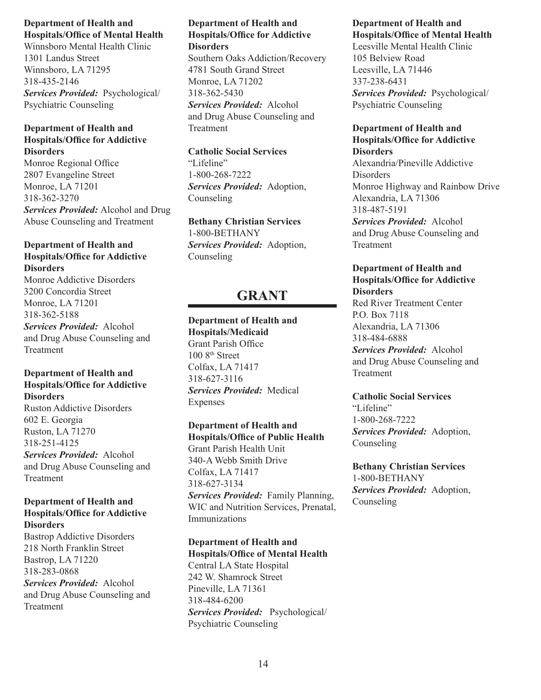Winnsboro Mental Health Clinic 1301 Landus Street Winnsboro, LA 71295 318-435-2146 *Services Provided:* Psychological/ Psychiatric Counseling

### **Department of Health and Hospitals/Office for Addictive Disorders**

Monroe Regional Office 2807 Evangeline Street Monroe, LA 71201 318-362-3270 *Services Provided:* Alcohol and Drug Abuse Counseling and Treatment

## **Department of Health and Hospitals/Office for Addictive Disorders**

Monroe Addictive Disorders 3200 Concordia Street Monroe, LA 71201 318-362-5188 *Services Provided:* Alcohol and Drug Abuse Counseling and Treatment

## **Department of Health and Hospitals/Office for Addictive Disorders**

Ruston Addictive Disorders 602 E. Georgia Ruston, LA 71270 318-251-4125 *Services Provided:* Alcohol and Drug Abuse Counseling and Treatment

### **Department of Health and Hospitals/Office for Addictive Disorders**

Bastrop Addictive Disorders 218 North Franklin Street Bastrop, LA 71220 318-283-0868 *Services Provided:* Alcohol and Drug Abuse Counseling and Treatment

### **Department of Health and Hospitals/Office for Addictive Disorders**

Southern Oaks Addiction/Recovery 4781 South Grand Street Monroe, LA 71202 318-362-5430 *Services Provided:* Alcohol and Drug Abuse Counseling and Treatment

## **Catholic Social Services**

"Lifeline" 1-800-268-7222 *Services Provided:* Adoption, Counseling

**Bethany Christian Services** 1-800-BETHANY *Services Provided:* Adoption, Counseling

## **GRANT**

## **Department of Health and**

**Hospitals/Medicaid** Grant Parish Office 100 8<sup>th</sup> Street Colfax, LA 71417 318-627-3116 *Services Provided:* Medical Expenses

## **Department of Health and Hospitals/Office of Public Health**

Grant Parish Health Unit 340-A Webb Smith Drive Colfax, LA 71417 318-627-3134 *Services Provided:* Family Planning, WIC and Nutrition Services, Prenatal, Immunizations

## **Department of Health and Hospitals/Office of Mental Health**

Central LA State Hospital 242 W. Shamrock Street Pineville, LA 71361 318-484-6200 *Services Provided:* Psychological/ Psychiatric Counseling

#### **Department of Health and Hospitals/Office of Mental Health**

Leesville Mental Health Clinic 105 Belview Road Leesville, LA 71446 337-238-6431 *Services Provided:* Psychological/ Psychiatric Counseling

## **Department of Health and Hospitals/Office for Addictive**

**Disorders** Alexandria/Pineville Addictive Disorders Monroe Highway and Rainbow Drive Alexandria, LA 71306 318-487-5191 *Services Provided:* Alcohol and Drug Abuse Counseling and Treatment

## **Department of Health and Hospitals/Office for Addictive Disorders**

Red River Treatment Center P.O. Box 7118 Alexandria, LA 71306 318-484-6888 *Services Provided:* Alcohol and Drug Abuse Counseling and Treatment

## **Catholic Social Services**

"Lifeline" 1-800-268-7222 *Services Provided:* Adoption, Counseling

**Bethany Christian Services** 1-800-BETHANY *Services Provided:* Adoption, **Counseling**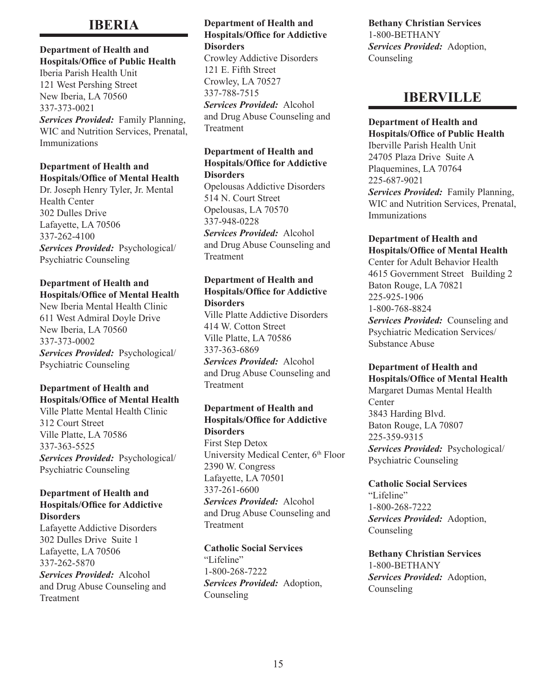## **IBERIA**

### **Department of Health and Hospitals/Office of Public Health** Iberia Parish Health Unit 121 West Pershing Street New Iberia, LA 70560 337-373-0021 *Services Provided:* Family Planning, WIC and Nutrition Services, Prenatal, Immunizations

### **Department of Health and Hospitals/Office of Mental Health**

Dr. Joseph Henry Tyler, Jr. Mental Health Center 302 Dulles Drive Lafayette, LA 70506 337-262-4100 *Services Provided:* Psychological/ Psychiatric Counseling

## **Department of Health and Hospitals/Office of Mental Health**

New Iberia Mental Health Clinic 611 West Admiral Doyle Drive New Iberia, LA 70560 337-373-0002 *Services Provided:* Psychological/ Psychiatric Counseling

## **Department of Health and Hospitals/Office of Mental Health**

Ville Platte Mental Health Clinic 312 Court Street Ville Platte, LA 70586 337-363-5525 *Services Provided:* Psychological/ Psychiatric Counseling

#### **Department of Health and Hospitals/Office for Addictive Disorders**

Lafayette Addictive Disorders 302 Dulles Drive Suite 1 Lafayette, LA 70506 337-262-5870 *Services Provided:* Alcohol

and Drug Abuse Counseling and **Treatment** 

## **Department of Health and Hospitals/Office for Addictive Disorders** Crowley Addictive Disorders 121 E. Fifth Street Crowley, LA 70527 337-788-7515 *Services Provided:* Alcohol

and Drug Abuse Counseling and Treatment

#### **Department of Health and Hospitals/Office for Addictive Disorders**

Opelousas Addictive Disorders 514 N. Court Street Opelousas, LA 70570 337-948-0228 *Services Provided:* Alcohol and Drug Abuse Counseling and **Treatment** 

### **Department of Health and Hospitals/Office for Addictive Disorders**

Ville Platte Addictive Disorders 414 W. Cotton Street Ville Platte, LA 70586 337-363-6869 *Services Provided:* Alcohol and Drug Abuse Counseling and Treatment

## **Department of Health and Hospitals/Office for Addictive Disorders**

First Step Detox University Medical Center, 6<sup>th</sup> Floor 2390 W. Congress Lafayette, LA 70501 337-261-6600 *Services Provided:* Alcohol and Drug Abuse Counseling and Treatment

**Catholic Social Services** "Lifeline" 1-800-268-7222 *Services Provided:* Adoption, Counseling

**Bethany Christian Services** 1-800-BETHANY *Services Provided:* Adoption, Counseling

## **IBERVILLE**

## **Department of Health and**

**Hospitals/Office of Public Health**

Iberville Parish Health Unit 24705 Plaza Drive Suite A Plaquemines, LA 70764 225-687-9021 *Services Provided:* Family Planning, WIC and Nutrition Services, Prenatal, Immunizations

#### **Department of Health and Hospitals/Office of Mental Health**

Center for Adult Behavior Health 4615 Government Street Building 2 Baton Rouge, LA 70821 225-925-1906 1-800-768-8824 *Services Provided:* Counseling and Psychiatric Medication Services/ Substance Abuse

## **Department of Health and Hospitals/Office of Mental Health**

Margaret Dumas Mental Health **Center** 3843 Harding Blvd. Baton Rouge, LA 70807 225-359-9315 *Services Provided:* Psychological/ Psychiatric Counseling

**Catholic Social Services** "Lifeline" 1-800-268-7222 *Services Provided:* Adoption, Counseling

**Bethany Christian Services** 1-800-BETHANY *Services Provided:* Adoption, Counseling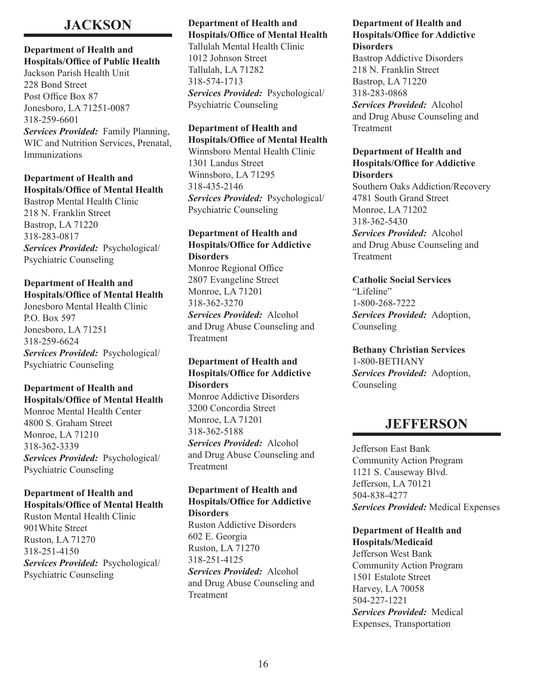## **JACKSON**

### **Department of Health and Hospitals/Office of Public Health** Jackson Parish Health Unit 228 Bond Street Post Office Box 87

Jonesboro, LA 71251-0087 318-259-6601 *Services Provided:* Family Planning, WIC and Nutrition Services, Prenatal, Immunizations

## **Department of Health and Hospitals/Office of Mental Health**

Bastrop Mental Health Clinic 218 N. Franklin Street Bastrop, LA 71220 318-283-0817 *Services Provided:* Psychological/ Psychiatric Counseling

## **Department of Health and Hospitals/Office of Mental Health**

Jonesboro Mental Health Clinic P.O. Box 597 Jonesboro, LA 71251 318-259-6624 *Services Provided:* Psychological/ Psychiatric Counseling

## **Department of Health and Hospitals/Office of Mental Health**

Monroe Mental Health Center 4800 S. Graham Street Monroe, LA 71210 318-362-3339 *Services Provided:* Psychological/ Psychiatric Counseling

## **Department of Health and Hospitals/Office of Mental Health**

Ruston Mental Health Clinic 901White Street Ruston, LA 71270 318-251-4150 *Services Provided:* Psychological/ Psychiatric Counseling

## **Department of Health and Hospitals/Office of Mental Health**

Tallulah Mental Health Clinic 1012 Johnson Street Tallulah, LA 71282 318-574-1713 *Services Provided:* Psychological/ Psychiatric Counseling

## **Department of Health and**

**Hospitals/Office of Mental Health** Winnsboro Mental Health Clinic 1301 Landus Street Winnsboro, LA 71295 318-435-2146 *Services Provided:* Psychological/ Psychiatric Counseling

## **Department of Health and Hospitals/Office for Addictive Disorders**

Monroe Regional Office 2807 Evangeline Street Monroe, LA 71201 318-362-3270 *Services Provided:* Alcohol and Drug Abuse Counseling and

Treatment

#### **Department of Health and Hospitals/Office for Addictive Disorders**

Monroe Addictive Disorders 3200 Concordia Street Monroe, LA 71201 318-362-5188 *Services Provided:* Alcohol and Drug Abuse Counseling and Treatment

### **Department of Health and Hospitals/Office for Addictive Disorders**

Ruston Addictive Disorders 602 E. Georgia Ruston, LA 71270 318-251-4125 *Services Provided:* Alcohol and Drug Abuse Counseling and Treatment

## **Department of Health and Hospitals/Office for Addictive Disorders**

Bastrop Addictive Disorders 218 N. Franklin Street Bastrop, LA 71220 318-283-0868 *Services Provided:* Alcohol and Drug Abuse Counseling and Treatment

### **Department of Health and Hospitals/Office for Addictive Disorders**

Southern Oaks Addiction/Recovery 4781 South Grand Street Monroe, LA 71202 318-362-5430 *Services Provided:* Alcohol and Drug Abuse Counseling and **Treatment** 

## **Catholic Social Services** "Lifeline" 1-800-268-7222 *Services Provided:* Adoption, Counseling

**Bethany Christian Services** 1-800-BETHANY *Services Provided:* Adoption, Counseling

## **JEFFERSON**

Jefferson East Bank Community Action Program 1121 S. Causeway Blvd. Jefferson, LA 70121 504-838-4277 *Services Provided:* Medical Expenses

## **Department of Health and Hospitals/Medicaid** Jefferson West Bank

Community Action Program 1501 Estalote Street Harvey, LA 70058 504-227-1221 *Services Provided:* Medical Expenses, Transportation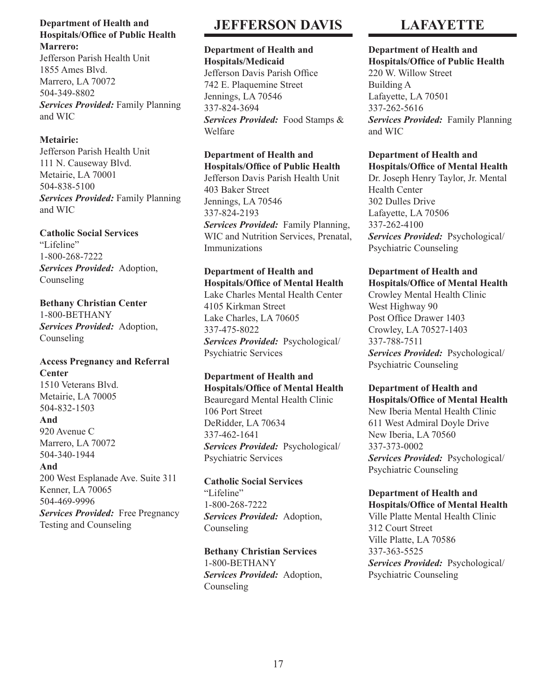### **Department of Health and Hospitals/Office of Public Health Marrero:**

Jefferson Parish Health Unit 1855 Ames Blvd. Marrero, LA 70072 504-349-8802 *Services Provided:* Family Planning and WIC

## **Metairie:**

Jefferson Parish Health Unit 111 N. Causeway Blvd. Metairie, LA 70001 504-838-5100 *Services Provided:* Family Planning and WIC

## **Catholic Social Services**

"Lifeline" 1-800-268-7222 *Services Provided:* Adoption, Counseling

**Bethany Christian Center** 1-800-BETHANY *Services Provided:* Adoption, Counseling

## **Access Pregnancy and Referral Center**

1510 Veterans Blvd. Metairie, LA 70005 504-832-1503 **And** 920 Avenue C Marrero, LA 70072 504-340-1944 **And** 200 West Esplanade Ave. Suite 311

Kenner, LA 70065 504-469-9996 *Services Provided:* Free Pregnancy Testing and Counseling

## **JEFFERSON DAVIS**

#### **Department of Health and Hospitals/Medicaid**

Jefferson Davis Parish Office 742 E. Plaquemine Street Jennings, LA 70546 337-824-3694 *Services Provided:* Food Stamps & Welfare

## **Department of Health and Hospitals/Office of Public Health**

Jefferson Davis Parish Health Unit 403 Baker Street Jennings, LA 70546 337-824-2193 *Services Provided:* Family Planning, WIC and Nutrition Services, Prenatal, Immunizations

## **Department of Health and Hospitals/Office of Mental Health**

Lake Charles Mental Health Center 4105 Kirkman Street Lake Charles, LA 70605 337-475-8022 *Services Provided:* Psychological/ Psychiatric Services

## **Department of Health and Hospitals/Office of Mental Health**

Beauregard Mental Health Clinic 106 Port Street DeRidder, LA 70634 337-462-1641 *Services Provided:* Psychological/ Psychiatric Services

**Catholic Social Services** "Lifeline" 1-800-268-7222 *Services Provided:* Adoption, Counseling

**Bethany Christian Services** 1-800-BETHANY *Services Provided:* Adoption, Counseling

## **LAFAYETTE**

## **Department of Health and**

**Hospitals/Office of Public Health** 220 W. Willow Street Building A Lafayette, LA 70501 337-262-5616 *Services Provided:* Family Planning and WIC

#### **Department of Health and Hospitals/Office of Mental Health**

Dr. Joseph Henry Taylor, Jr. Mental Health Center 302 Dulles Drive Lafayette, LA 70506 337-262-4100 *Services Provided:* Psychological/ Psychiatric Counseling

#### **Department of Health and Hospitals/Office of Mental Health**

Crowley Mental Health Clinic West Highway 90 Post Office Drawer 1403 Crowley, LA 70527-1403 337-788-7511 *Services Provided:* Psychological/ Psychiatric Counseling

### **Department of Health and Hospitals/Office of Mental Health**

New Iberia Mental Health Clinic 611 West Admiral Doyle Drive New Iberia, LA 70560 337-373-0002 *Services Provided:* Psychological/ Psychiatric Counseling

## **Department of Health and Hospitals/Office of Mental Health**

Ville Platte Mental Health Clinic 312 Court Street Ville Platte, LA 70586 337-363-5525 *Services Provided:* Psychological/ Psychiatric Counseling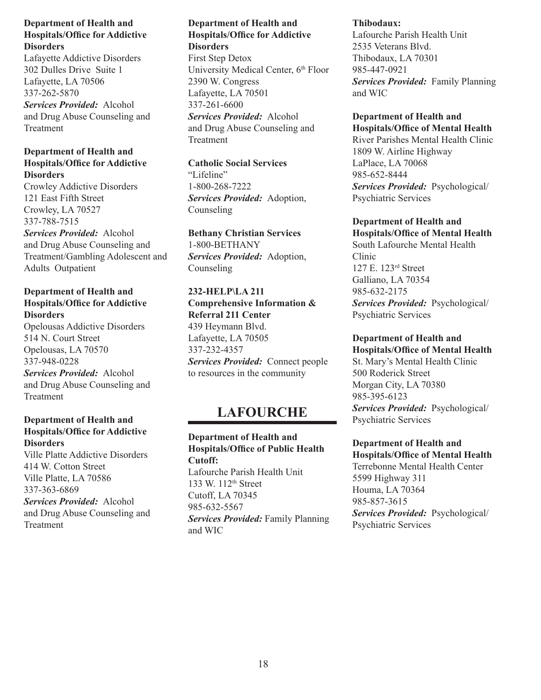Lafayette Addictive Disorders 302 Dulles Drive Suite 1 Lafayette, LA 70506 337-262-5870 *Services Provided:* Alcohol and Drug Abuse Counseling and Treatment

## **Department of Health and Hospitals/Office for Addictive Disorders**

Crowley Addictive Disorders 121 East Fifth Street Crowley, LA 70527 337-788-7515 *Services Provided:* Alcohol and Drug Abuse Counseling and Treatment/Gambling Adolescent and Adults Outpatient

## **Department of Health and Hospitals/Office for Addictive Disorders**

Opelousas Addictive Disorders 514 N. Court Street Opelousas, LA 70570 337-948-0228

*Services Provided:* Alcohol and Drug Abuse Counseling and Treatment

## **Department of Health and Hospitals/Office for Addictive Disorders**

Ville Platte Addictive Disorders 414 W. Cotton Street Ville Platte, LA 70586 337-363-6869 *Services Provided:* Alcohol

and Drug Abuse Counseling and Treatment

## **Department of Health and Hospitals/Office for Addictive Disorders**

First Step Detox University Medical Center, 6<sup>th</sup> Floor 2390 W. Congress Lafayette, LA 70501 337-261-6600 *Services Provided:* Alcohol and Drug Abuse Counseling and Treatment

## **Catholic Social Services** "Lifeline" 1-800-268-7222

*Services Provided:* Adoption, Counseling

## **Bethany Christian Services** 1-800-BETHANY *Services Provided:* Adoption,

Counseling

## **232-HELP\LA 211 Comprehensive Information &**

**Referral 211 Center** 439 Heymann Blvd. Lafayette, LA 70505 337-232-4357 *Services Provided:* Connect people to resources in the community

## **LAFOURCHE**

## **Department of Health and Hospitals/Office of Public Health Cutoff:** Lafourche Parish Health Unit 133 W. 112th Street Cutoff, LA 70345 985-632-5567 *Services Provided:* Family Planning and WIC

## **Thibodaux:**

Lafourche Parish Health Unit 2535 Veterans Blvd. Thibodaux, LA 70301 985-447-0921 *Services Provided:* Family Planning and WIC

#### **Department of Health and Hospitals/Office of Mental Health**

River Parishes Mental Health Clinic 1809 W. Airline Highway LaPlace, LA 70068 985-652-8444 *Services Provided:* Psychological/ Psychiatric Services

## **Department of Health and**

**Hospitals/Office of Mental Health** South Lafourche Mental Health Clinic 127 E. 123rd Street Galliano, LA 70354 985-632-2175 *Services Provided:* Psychological/ Psychiatric Services

## **Department of Health and**

**Hospitals/Office of Mental Health** St. Mary's Mental Health Clinic 500 Roderick Street Morgan City, LA 70380 985-395-6123 *Services Provided:* Psychological/ Psychiatric Services

#### **Department of Health and Hospitals/Office of Mental Health**

Terrebonne Mental Health Center 5599 Highway 311 Houma, LA 70364 985-857-3615 *Services Provided:* Psychological/ Psychiatric Services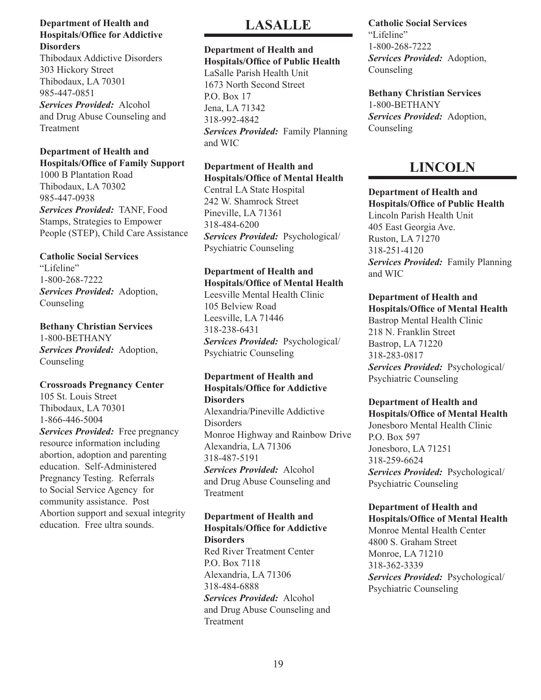Thibodaux Addictive Disorders 303 Hickory Street Thibodaux, LA 70301 985-447-0851 *Services Provided:* Alcohol and Drug Abuse Counseling and Treatment

## **Department of Health and Hospitals/Office of Family Support**

1000 B Plantation Road Thibodaux, LA 70302 985-447-0938 *Services Provided:* TANF, Food Stamps, Strategies to Empower People (STEP), Child Care Assistance

## **Catholic Social Services**

"Lifeline" 1-800-268-7222 *Services Provided:* Adoption, Counseling

## **Bethany Christian Services**

1-800-BETHANY *Services Provided:* Adoption, Counseling

## **Crossroads Pregnancy Center**

105 St. Louis Street Thibodaux, LA 70301 1-866-446-5004 *Services Provided:* Free pregnancy

resource information including abortion, adoption and parenting education. Self-Administered Pregnancy Testing. Referrals to Social Service Agency for community assistance. Post Abortion support and sexual integrity education. Free ultra sounds.

## **LASALLE**

## **Department of Health and**

**Hospitals/Office of Public Health** LaSalle Parish Health Unit 1673 North Second Street P.O. Box 17 Jena, LA 71342 318-992-4842 *Services Provided:* Family Planning and WIC

## **Department of Health and Hospitals/Office of Mental Health**

Central LA State Hospital 242 W. Shamrock Street Pineville, LA 71361 318-484-6200 *Services Provided:* Psychological/ Psychiatric Counseling

## **Department of Health and Hospitals/Office of Mental Health**

Leesville Mental Health Clinic 105 Belview Road Leesville, LA 71446 318-238-6431 *Services Provided:* Psychological/ Psychiatric Counseling

## **Department of Health and Hospitals/Office for Addictive Disorders**

Alexandria/Pineville Addictive **Disorders** Monroe Highway and Rainbow Drive Alexandria, LA 71306 318-487-5191 *Services Provided:* Alcohol and Drug Abuse Counseling and Treatment

#### **Department of Health and Hospitals/Office for Addictive Disorders**

Red River Treatment Center P.O. Box 7118 Alexandria, LA 71306 318-484-6888 *Services Provided:* Alcohol and Drug Abuse Counseling and **Treatment** 

## **Catholic Social Services** "Lifeline" 1-800-268-7222 *Services Provided:* Adoption, Counseling

**Bethany Christian Services** 1-800-BETHANY *Services Provided:* Adoption, Counseling

## **LINCOLN**

**Department of Health and Hospitals/Office of Public Health** Lincoln Parish Health Unit 405 East Georgia Ave. Ruston, LA 71270 318-251-4120 *Services Provided:* Family Planning and WIC

## **Department of Health and Hospitals/Office of Mental Health**

Bastrop Mental Health Clinic 218 N. Franklin Street Bastrop, LA 71220 318-283-0817 *Services Provided:* Psychological/ Psychiatric Counseling

#### **Department of Health and Hospitals/Office of Mental Health**

Jonesboro Mental Health Clinic P.O. Box 597 Jonesboro, LA 71251 318-259-6624 *Services Provided:* Psychological/ Psychiatric Counseling

#### **Department of Health and Hospitals/Office of Mental Health**

Monroe Mental Health Center 4800 S. Graham Street Monroe, LA 71210 318-362-3339 *Services Provided:* Psychological/ Psychiatric Counseling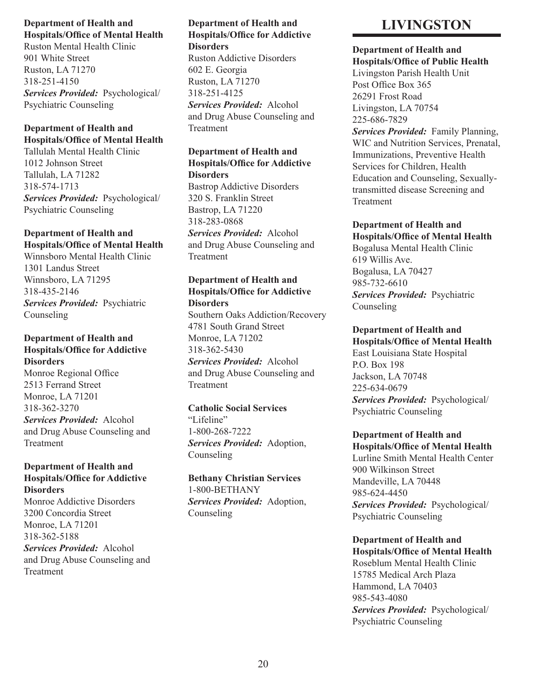Ruston Mental Health Clinic 901 White Street Ruston, LA 71270 318-251-4150 *Services Provided:* Psychological/ Psychiatric Counseling

## **Department of Health and Hospitals/Office of Mental Health**

Tallulah Mental Health Clinic 1012 Johnson Street Tallulah, LA 71282 318-574-1713 *Services Provided:* Psychological/ Psychiatric Counseling

## **Department of Health and Hospitals/Office of Mental Health**

Winnsboro Mental Health Clinic 1301 Landus Street Winnsboro, LA 71295 318-435-2146 *Services Provided:* Psychiatric Counseling

## **Department of Health and Hospitals/Office for Addictive Disorders**

Monroe Regional Office 2513 Ferrand Street Monroe, LA 71201 318-362-3270 *Services Provided:* Alcohol and Drug Abuse Counseling and Treatment

## **Department of Health and Hospitals/Office for Addictive Disorders**

Monroe Addictive Disorders 3200 Concordia Street Monroe, LA 71201 318-362-5188 *Services Provided:* Alcohol and Drug Abuse Counseling and **Treatment** 

## **Department of Health and Hospitals/Office for Addictive Disorders**

Ruston Addictive Disorders 602 E. Georgia Ruston, LA 71270 318-251-4125 *Services Provided:* Alcohol and Drug Abuse Counseling and Treatment

### **Department of Health and Hospitals/Office for Addictive Disorders**

Bastrop Addictive Disorders 320 S. Franklin Street Bastrop, LA 71220 318-283-0868 *Services Provided:* Alcohol and Drug Abuse Counseling and Treatment

## **Department of Health and Hospitals/Office for Addictive Disorders**

Southern Oaks Addiction/Recovery 4781 South Grand Street Monroe, LA 71202 318-362-5430 *Services Provided:* Alcohol and Drug Abuse Counseling and Treatment

## **Catholic Social Services** "Lifeline" 1-800-268-7222 *Services Provided:* Adoption, Counseling

**Bethany Christian Services** 1-800-BETHANY *Services Provided:* Adoption, Counseling

## **LIVINGSTON**

## **Department of Health and**

**Hospitals/Office of Public Health** Livingston Parish Health Unit Post Office Box 365 26291 Frost Road Livingston, LA 70754 225-686-7829 *Services Provided:* Family Planning, WIC and Nutrition Services, Prenatal, Immunizations, Preventive Health Services for Children, Health Education and Counseling, Sexuallytransmitted disease Screening and

## **Department of Health and**

Treatment

**Hospitals/Office of Mental Health** Bogalusa Mental Health Clinic 619 Willis Ave. Bogalusa, LA 70427 985-732-6610 *Services Provided:* Psychiatric **Counseling** 

## **Department of Health and Hospitals/Office of Mental Health**

East Louisiana State Hospital P.O. Box 198 Jackson, LA 70748 225-634-0679 *Services Provided:* Psychological/ Psychiatric Counseling

## **Department of Health and**

**Hospitals/Office of Mental Health** Lurline Smith Mental Health Center 900 Wilkinson Street Mandeville, LA 70448 985-624-4450 *Services Provided:* Psychological/ Psychiatric Counseling

## **Department of Health and Hospitals/Office of Mental Health** Roseblum Mental Health Clinic 15785 Medical Arch Plaza

Hammond, LA 70403 985-543-4080 *Services Provided:* Psychological/ Psychiatric Counseling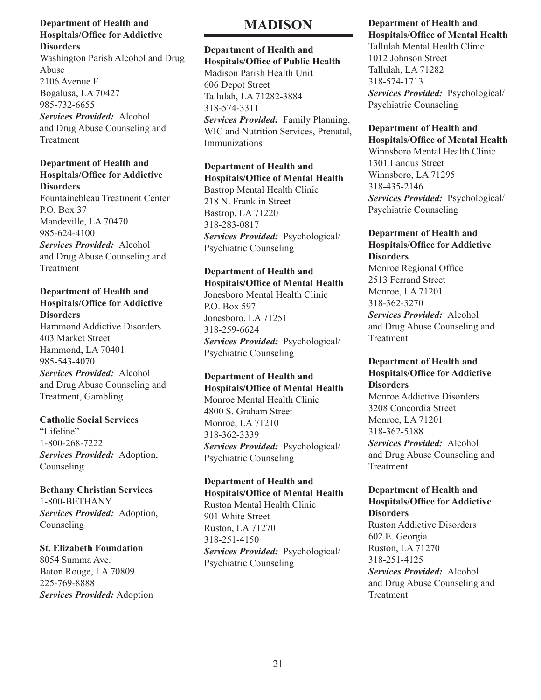Washington Parish Alcohol and Drug Abuse 2106 Avenue F Bogalusa, LA 70427 985-732-6655 *Services Provided:* Alcohol and Drug Abuse Counseling and Treatment

## **Department of Health and Hospitals/Office for Addictive Disorders**

Fountainebleau Treatment Center P.O. Box 37 Mandeville, LA 70470 985-624-4100 *Services Provided:* Alcohol and Drug Abuse Counseling and Treatment

### **Department of Health and Hospitals/Office for Addictive Disorders**

Hammond Addictive Disorders 403 Market Street Hammond, LA 70401 985-543-4070

*Services Provided:* Alcohol and Drug Abuse Counseling and Treatment, Gambling

## **Catholic Social Services**

"Lifeline" 1-800-268-7222 *Services Provided:* Adoption, Counseling

**Bethany Christian Services** 1-800-BETHANY *Services Provided:* Adoption, Counseling

## **St. Elizabeth Foundation**

8054 Summa Ave. Baton Rouge, LA 70809 225-769-8888 *Services Provided:* Adoption

## **MADISON**

## **Department of Health and Hospitals/Office of Public Health**

Madison Parish Health Unit 606 Depot Street Tallulah, LA 71282-3884 318-574-3311 *Services Provided:* Family Planning, WIC and Nutrition Services, Prenatal, Immunizations

## **Department of Health and Hospitals/Office of Mental Health**

Bastrop Mental Health Clinic 218 N. Franklin Street Bastrop, LA 71220 318-283-0817 *Services Provided:* Psychological/ Psychiatric Counseling

## **Department of Health and Hospitals/Office of Mental Health**

Jonesboro Mental Health Clinic P.O. Box 597 Jonesboro, LA 71251 318-259-6624 *Services Provided:* Psychological/ Psychiatric Counseling

## **Department of Health and Hospitals/Office of Mental Health**

Monroe Mental Health Clinic 4800 S. Graham Street Monroe, LA 71210 318-362-3339 *Services Provided:* Psychological/ Psychiatric Counseling

## **Department of Health and Hospitals/Office of Mental Health**

Ruston Mental Health Clinic 901 White Street Ruston, LA 71270 318-251-4150 *Services Provided:* Psychological/ Psychiatric Counseling

## **Department of Health and Hospitals/Office of Mental Health**

Tallulah Mental Health Clinic 1012 Johnson Street Tallulah, LA 71282 318-574-1713 *Services Provided:* Psychological/ Psychiatric Counseling

#### **Department of Health and Hospitals/Office of Mental Health**

Winnsboro Mental Health Clinic 1301 Landus Street Winnsboro, LA 71295 318-435-2146 *Services Provided:* Psychological/ Psychiatric Counseling

## **Department of Health and Hospitals/Office for Addictive Disorders**

Monroe Regional Office 2513 Ferrand Street Monroe, LA 71201 318-362-3270

*Services Provided:* Alcohol and Drug Abuse Counseling and Treatment

### **Department of Health and Hospitals/Office for Addictive Disorders**

Monroe Addictive Disorders 3208 Concordia Street Monroe, LA 71201 318-362-5188 *Services Provided:* Alcohol and Drug Abuse Counseling and Treatment

#### **Department of Health and Hospitals/Office for Addictive Disorders**

Ruston Addictive Disorders 602 E. Georgia Ruston, LA 71270 318-251-4125 *Services Provided:* Alcohol and Drug Abuse Counseling and Treatment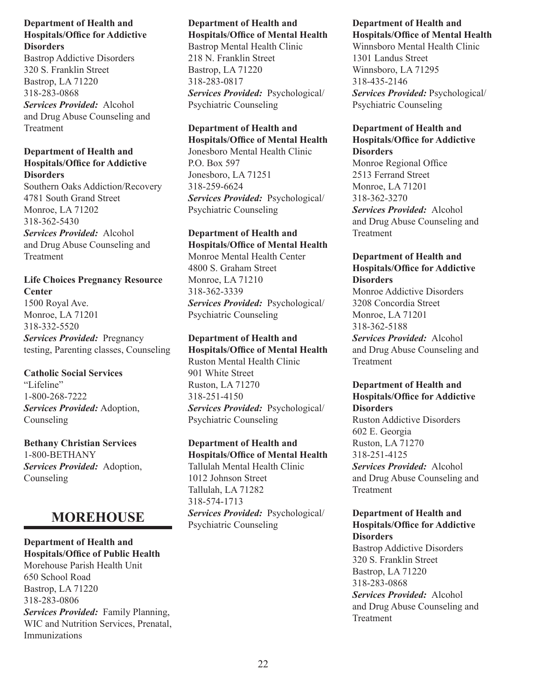Bastrop Addictive Disorders 320 S. Franklin Street Bastrop, LA 71220 318-283-0868 *Services Provided:* Alcohol and Drug Abuse Counseling and Treatment

### **Department of Health and Hospitals/Office for Addictive Disorders**

Southern Oaks Addiction/Recovery 4781 South Grand Street Monroe, LA 71202 318-362-5430 *Services Provided:* Alcohol and Drug Abuse Counseling and Treatment

**Life Choices Pregnancy Resource Center** 1500 Royal Ave. Monroe, LA 71201 318-332-5520 *Services Provided:* Pregnancy testing, Parenting classes, Counseling

**Catholic Social Services** "Lifeline" 1-800-268-7222 *Services Provided:* Adoption, Counseling

**Bethany Christian Services** 1-800-BETHANY *Services Provided:* Adoption, Counseling

## **MOREHOUSE**

## **Department of Health and Hospitals/Office of Public Health** Morehouse Parish Health Unit 650 School Road Bastrop, LA 71220 318-283-0806 *Services Provided:* Family Planning, WIC and Nutrition Services, Prenatal, Immunizations

## **Department of Health and Hospitals/Office of Mental Health**

Bastrop Mental Health Clinic 218 N. Franklin Street Bastrop, LA 71220 318-283-0817 *Services Provided:* Psychological/ Psychiatric Counseling

## **Department of Health and**

**Hospitals/Office of Mental Health** Jonesboro Mental Health Clinic P.O. Box 597 Jonesboro, LA 71251 318-259-6624 *Services Provided:* Psychological/ Psychiatric Counseling

#### **Department of Health and Hospitals/Office of Mental Health**

Monroe Mental Health Center 4800 S. Graham Street Monroe, LA 71210 318-362-3339 *Services Provided:* Psychological/ Psychiatric Counseling

**Department of Health and Hospitals/Office of Mental Health** Ruston Mental Health Clinic 901 White Street Ruston, LA 71270 318-251-4150 *Services Provided:* Psychological/ Psychiatric Counseling

**Department of Health and Hospitals/Office of Mental Health** Tallulah Mental Health Clinic 1012 Johnson Street Tallulah, LA 71282 318-574-1713 *Services Provided:* Psychological/ Psychiatric Counseling

#### **Department of Health and Hospitals/Office of Mental Health**

Winnsboro Mental Health Clinic 1301 Landus Street Winnsboro, LA 71295 318-435-2146 *Services Provided:* Psychological/ Psychiatric Counseling

## **Department of Health and Hospitals/Office for Addictive Disorders**

Monroe Regional Office 2513 Ferrand Street Monroe, LA 71201 318-362-3270 *Services Provided:* Alcohol and Drug Abuse Counseling and Treatment

## **Department of Health and Hospitals/Office for Addictive Disorders**

Monroe Addictive Disorders 3208 Concordia Street Monroe, LA 71201 318-362-5188 *Services Provided:* Alcohol and Drug Abuse Counseling and Treatment

## **Department of Health and Hospitals/Office for Addictive Disorders**

Ruston Addictive Disorders 602 E. Georgia Ruston, LA 71270 318-251-4125 *Services Provided:* Alcohol and Drug Abuse Counseling and Treatment

## **Department of Health and Hospitals/Office for Addictive Disorders**

Bastrop Addictive Disorders 320 S. Franklin Street Bastrop, LA 71220 318-283-0868 *Services Provided:* Alcohol and Drug Abuse Counseling and Treatment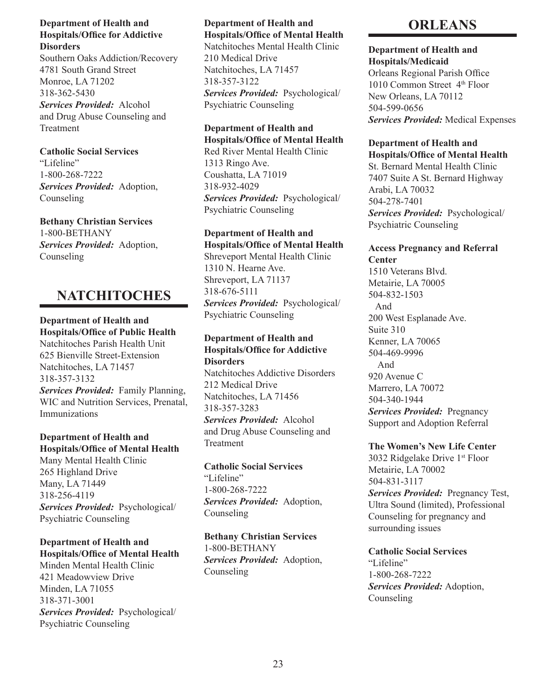Southern Oaks Addiction/Recovery 4781 South Grand Street Monroe, LA 71202 318-362-5430 *Services Provided:* Alcohol and Drug Abuse Counseling and Treatment

**Catholic Social Services** "Lifeline" 1-800-268-7222 *Services Provided:* Adoption, Counseling

**Bethany Christian Services** 1-800-BETHANY *Services Provided:* Adoption, Counseling

## **NATCHITOCHES**

**Department of Health and Hospitals/Office of Public Health** Natchitoches Parish Health Unit 625 Bienville Street-Extension Natchitoches, LA 71457 318-357-3132

*Services Provided:* Family Planning, WIC and Nutrition Services, Prenatal, Immunizations

## **Department of Health and Hospitals/Office of Mental Health**

Many Mental Health Clinic 265 Highland Drive Many, LA 71449 318-256-4119 *Services Provided:* Psychological/ Psychiatric Counseling

## **Department of Health and Hospitals/Office of Mental Health**

Minden Mental Health Clinic 421 Meadowview Drive Minden, LA 71055 318-371-3001 *Services Provided:* Psychological/ Psychiatric Counseling

## **Department of Health and Hospitals/Office of Mental Health**

Natchitoches Mental Health Clinic 210 Medical Drive Natchitoches, LA 71457 318-357-3122 *Services Provided:* Psychological/ Psychiatric Counseling

### **Department of Health and Hospitals/Office of Mental Health**

Red River Mental Health Clinic 1313 Ringo Ave. Coushatta, LA 71019 318-932-4029 *Services Provided:* Psychological/ Psychiatric Counseling

## **Department of Health and**

**Hospitals/Office of Mental Health** Shreveport Mental Health Clinic 1310 N. Hearne Ave. Shreveport, LA 71137 318-676-5111 *Services Provided:* Psychological/ Psychiatric Counseling

## **Department of Health and Hospitals/Office for Addictive Disorders**

Natchitoches Addictive Disorders 212 Medical Drive Natchitoches, LA 71456 318-357-3283 *Services Provided:* Alcohol and Drug Abuse Counseling and Treatment

### **Catholic Social Services** "Lifeline" 1-800-268-7222 *Services Provided:* Adoption, Counseling

**Bethany Christian Services** 1-800-BETHANY *Services Provided:* Adoption, Counseling

## **ORLEANS**

## **Department of Health and Hospitals/Medicaid**

Orleans Regional Parish Office 1010 Common Street 4th Floor New Orleans, LA 70112 504-599-0656 *Services Provided:* Medical Expenses

#### **Department of Health and Hospitals/Office of Mental Health**

St. Bernard Mental Health Clinic 7407 Suite A St. Bernard Highway Arabi, LA 70032 504-278-7401 *Services Provided:* Psychological/ Psychiatric Counseling

## **Access Pregnancy and Referral Center**

1510 Veterans Blvd. Metairie, LA 70005 504-832-1503 And 200 West Esplanade Ave. Suite 310 Kenner, LA 70065 504-469-9996 And 920 Avenue C Marrero, LA 70072 504-340-1944 *Services Provided:* Pregnancy Support and Adoption Referral

## **The Women's New Life Center**

3032 Ridgelake Drive 1st Floor Metairie, LA 70002 504-831-3117 *Services Provided:* Pregnancy Test, Ultra Sound (limited), Professional Counseling for pregnancy and surrounding issues

## **Catholic Social Services**

"Lifeline" 1-800-268-7222 *Services Provided:* Adoption, Counseling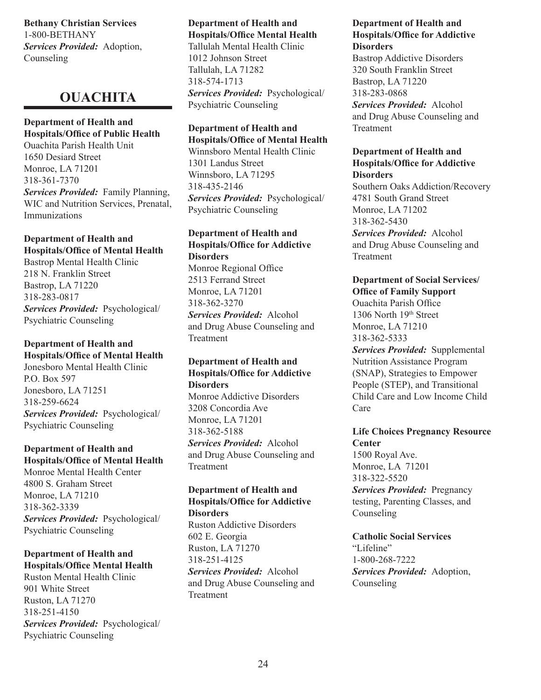**Bethany Christian Services** 1-800-BETHANY *Services Provided:* Adoption, Counseling

## **OUACHITA**

## **Department of Health and Hospitals/Office of Public Health**

Ouachita Parish Health Unit 1650 Desiard Street Monroe, LA 71201 318-361-7370 *Services Provided:* Family Planning, WIC and Nutrition Services, Prenatal, Immunizations

## **Department of Health and Hospitals/Office of Mental Health**

Bastrop Mental Health Clinic 218 N. Franklin Street Bastrop, LA 71220 318-283-0817 *Services Provided:* Psychological/ Psychiatric Counseling

### **Department of Health and Hospitals/Office of Mental Health**

Jonesboro Mental Health Clinic P.O. Box 597 Jonesboro, LA 71251 318-259-6624 *Services Provided:* Psychological/ Psychiatric Counseling

## **Department of Health and Hospitals/Office of Mental Health**

Monroe Mental Health Center 4800 S. Graham Street Monroe, LA 71210 318-362-3339 *Services Provided:* Psychological/ Psychiatric Counseling

## **Department of Health and Hospitals/Office Mental Health**

Ruston Mental Health Clinic 901 White Street Ruston, LA 71270 318-251-4150 *Services Provided:* Psychological/ Psychiatric Counseling

#### **Department of Health and Hospitals/Office Mental Health**

Tallulah Mental Health Clinic 1012 Johnson Street Tallulah, LA 71282 318-574-1713 *Services Provided:* Psychological/ Psychiatric Counseling

### **Department of Health and Hospitals/Office of Mental Health**

Winnsboro Mental Health Clinic 1301 Landus Street Winnsboro, LA 71295 318-435-2146 *Services Provided:* Psychological/ Psychiatric Counseling

## **Department of Health and Hospitals/Office for Addictive Disorders**

Monroe Regional Office 2513 Ferrand Street Monroe, LA 71201 318-362-3270 *Services Provided:* Alcohol and Drug Abuse Counseling and Treatment

#### **Department of Health and Hospitals/Office for Addictive Disorders**

Monroe Addictive Disorders 3208 Concordia Ave Monroe, LA 71201 318-362-5188 *Services Provided:* Alcohol and Drug Abuse Counseling and Treatment

#### **Department of Health and Hospitals/Office for Addictive Disorders**

Ruston Addictive Disorders 602 E. Georgia Ruston, LA 71270 318-251-4125 *Services Provided:* Alcohol and Drug Abuse Counseling and Treatment

#### **Department of Health and Hospitals/Office for Addictive Disorders**

Bastrop Addictive Disorders 320 South Franklin Street Bastrop, LA 71220 318-283-0868 *Services Provided:* Alcohol and Drug Abuse Counseling and Treatment

### **Department of Health and Hospitals/Office for Addictive Disorders**

Southern Oaks Addiction/Recovery 4781 South Grand Street Monroe, LA 71202 318-362-5430 *Services Provided:* Alcohol and Drug Abuse Counseling and Treatment

## **Department of Social Services/ Office of Family Support** Ouachita Parish Office 1306 North 19th Street Monroe, LA 71210 318-362-5333 *Services Provided:* Supplemental Nutrition Assistance Program (SNAP), Strategies to Empower People (STEP), and Transitional Child Care and Low Income Child Care

## **Life Choices Pregnancy Resource Center**  1500 Royal Ave. Monroe, LA 71201

318-322-5520 *Services Provided:* Pregnancy testing, Parenting Classes, and Counseling

## **Catholic Social Services** "Lifeline" 1-800-268-7222 *Services Provided:* Adoption,

Counseling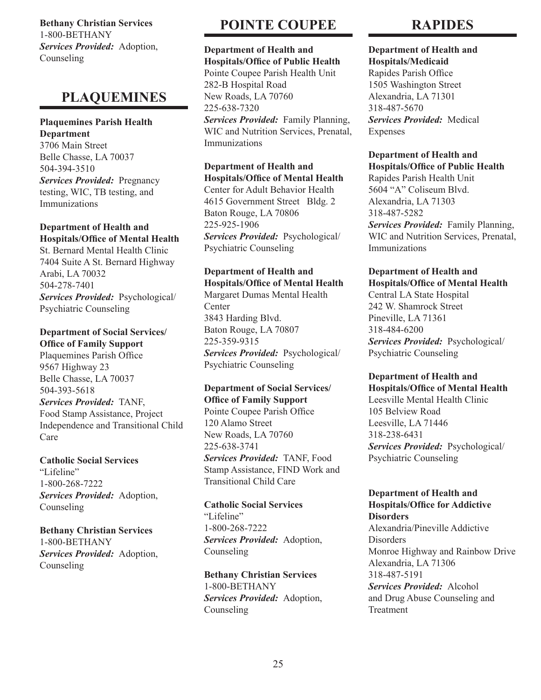**Bethany Christian Services** 1-800-BETHANY *Services Provided:* Adoption, Counseling

## **PLAQUEMINES**

## **Plaquemines Parish Health Department**

3706 Main Street Belle Chasse, LA 70037 504-394-3510 *Services Provided:* Pregnancy testing, WIC, TB testing, and Immunizations

### **Department of Health and Hospitals/Office of Mental Health**

St. Bernard Mental Health Clinic 7404 Suite A St. Bernard Highway Arabi, LA 70032 504-278-7401 *Services Provided:* Psychological/ Psychiatric Counseling

#### **Department of Social Services/ Office of Family Support**

Plaquemines Parish Office 9567 Highway 23 Belle Chasse, LA 70037 504-393-5618 *Services Provided:* TANF, Food Stamp Assistance, Project Independence and Transitional Child Care

## **Catholic Social Services**

"Lifeline" 1-800-268-7222 *Services Provided:* Adoption, Counseling

**Bethany Christian Services** 1-800-BETHANY *Services Provided:* Adoption, Counseling

## **POINTE COUPEE**

### **Department of Health and Hospitals/Office of Public Health**

Pointe Coupee Parish Health Unit 282-B Hospital Road New Roads, LA 70760 225-638-7320 *Services Provided:* Family Planning, WIC and Nutrition Services, Prenatal, Immunizations

#### **Department of Health and Hospitals/Office of Mental Health**

Center for Adult Behavior Health 4615 Government Street Bldg. 2 Baton Rouge, LA 70806 225-925-1906 *Services Provided:* Psychological/ Psychiatric Counseling

## **Department of Health and Hospitals/Office of Mental Health**

Margaret Dumas Mental Health **Center** 3843 Harding Blvd. Baton Rouge, LA 70807 225-359-9315 *Services Provided:* Psychological/ Psychiatric Counseling

## **Department of Social Services/ Office of Family Support**

Pointe Coupee Parish Office 120 Alamo Street New Roads, LA 70760 225-638-3741 *Services Provided:* TANF, Food Stamp Assistance, FIND Work and Transitional Child Care

## **Catholic Social Services**

"Lifeline" 1-800-268-7222 *Services Provided:* Adoption, Counseling

### **Bethany Christian Services** 1-800-BETHANY *Services Provided:* Adoption, Counseling

## **RAPIDES**

#### **Department of Health and Hospitals/Medicaid**

Rapides Parish Office 1505 Washington Street Alexandria, LA 71301 318-487-5670 *Services Provided:* Medical Expenses

## **Department of Health and Hospitals/Office of Public Health**

Rapides Parish Health Unit 5604 "A" Coliseum Blvd. Alexandria, LA 71303 318-487-5282 *Services Provided:* Family Planning,

WIC and Nutrition Services, Prenatal, Immunizations

## **Department of Health and Hospitals/Office of Mental Health**

Central LA State Hospital 242 W. Shamrock Street Pineville, LA 71361 318-484-6200 *Services Provided:* Psychological/ Psychiatric Counseling

## **Department of Health and Hospitals/Office of Mental Health**

Leesville Mental Health Clinic 105 Belview Road Leesville, LA 71446 318-238-6431 *Services Provided:* Psychological/ Psychiatric Counseling

#### **Department of Health and Hospitals/Office for Addictive Disorders**

Alexandria/Pineville Addictive Disorders Monroe Highway and Rainbow Drive Alexandria, LA 71306 318-487-5191 *Services Provided:* Alcohol and Drug Abuse Counseling and Treatment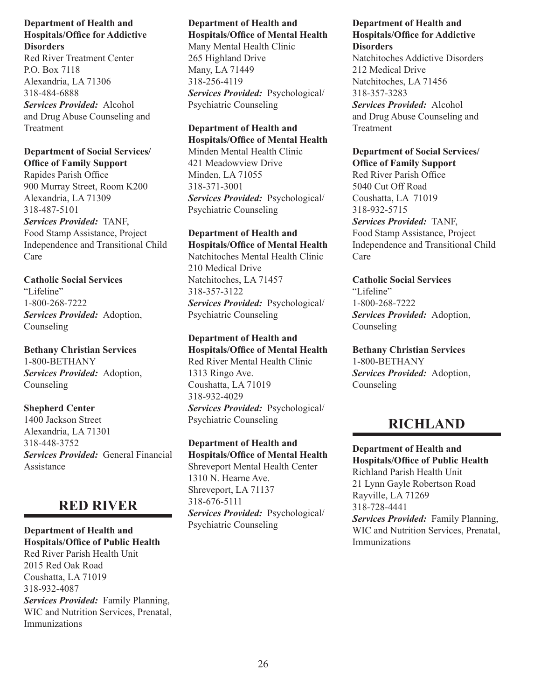Red River Treatment Center P.O. Box 7118 Alexandria, LA 71306 318-484-6888 *Services Provided:* Alcohol and Drug Abuse Counseling and Treatment

## **Department of Social Services/ Office of Family Support**

Rapides Parish Office 900 Murray Street, Room K200 Alexandria, LA 71309 318-487-5101 *Services Provided:* TANF, Food Stamp Assistance, Project Independence and Transitional Child Care

**Catholic Social Services** "Lifeline" 1-800-268-7222 *Services Provided:* Adoption, Counseling

**Bethany Christian Services** 1-800-BETHANY *Services Provided:* Adoption, Counseling

**Shepherd Center** 1400 Jackson Street Alexandria, LA 71301 318-448-3752 *Services Provided:* General Financial Assistance

## **RED RIVER**

**Department of Health and Hospitals/Office of Public Health** Red River Parish Health Unit 2015 Red Oak Road Coushatta, LA 71019 318-932-4087 *Services Provided:* Family Planning, WIC and Nutrition Services, Prenatal, Immunizations

## **Department of Health and Hospitals/Office of Mental Health**

Many Mental Health Clinic 265 Highland Drive Many, LA 71449 318-256-4119 *Services Provided:* Psychological/ Psychiatric Counseling

## **Department of Health and Hospitals/Office of Mental Health**

Minden Mental Health Clinic 421 Meadowview Drive Minden, LA 71055 318-371-3001 *Services Provided:* Psychological/ Psychiatric Counseling

## **Department of Health and**

**Hospitals/Office of Mental Health** Natchitoches Mental Health Clinic 210 Medical Drive Natchitoches, LA 71457 318-357-3122 *Services Provided:* Psychological/ Psychiatric Counseling

**Department of Health and Hospitals/Office of Mental Health** Red River Mental Health Clinic 1313 Ringo Ave. Coushatta, LA 71019 318-932-4029 *Services Provided:* Psychological/ Psychiatric Counseling

**Department of Health and Hospitals/Office of Mental Health** Shreveport Mental Health Center 1310 N. Hearne Ave. Shreveport, LA 71137 318-676-5111 *Services Provided:* Psychological/ Psychiatric Counseling

## **Department of Health and Hospitals/Office for Addictive Disorders**

Natchitoches Addictive Disorders 212 Medical Drive Natchitoches, LA 71456 318-357-3283 *Services Provided:* Alcohol and Drug Abuse Counseling and Treatment

## **Department of Social Services/ Office of Family Support**

Red River Parish Office 5040 Cut Off Road Coushatta, LA 71019 318-932-5715 *Services Provided:* TANF, Food Stamp Assistance, Project Independence and Transitional Child Care

**Catholic Social Services** "Lifeline" 1-800-268-7222 *Services Provided:* Adoption, Counseling

**Bethany Christian Services** 1-800-BETHANY *Services Provided:* Adoption, Counseling

## **RICHLAND**

**Department of Health and Hospitals/Office of Public Health** Richland Parish Health Unit 21 Lynn Gayle Robertson Road Rayville, LA 71269 318-728-4441 *Services Provided:* Family Planning, WIC and Nutrition Services, Prenatal, Immunizations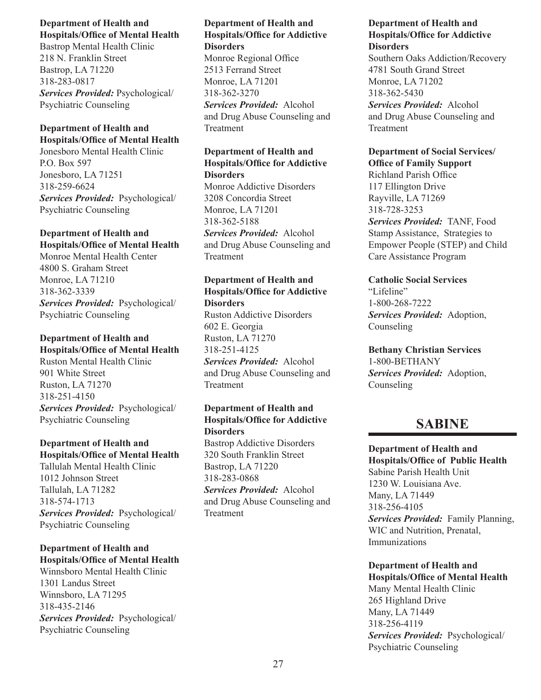Bastrop Mental Health Clinic 218 N. Franklin Street Bastrop, LA 71220 318-283-0817 *Services Provided:* Psychological/ Psychiatric Counseling

#### **Department of Health and Hospitals/Office of Mental Health**

Jonesboro Mental Health Clinic P.O. Box 597 Jonesboro, LA 71251 318-259-6624 *Services Provided:* Psychological/ Psychiatric Counseling

## **Department of Health and Hospitals/Office of Mental Health**

Monroe Mental Health Center 4800 S. Graham Street Monroe, LA 71210 318-362-3339 *Services Provided:* Psychological/ Psychiatric Counseling

## **Department of Health and**

**Hospitals/Office of Mental Health** Ruston Mental Health Clinic 901 White Street Ruston, LA 71270 318-251-4150 *Services Provided:* Psychological/ Psychiatric Counseling

## **Department of Health and Hospitals/Office of Mental Health**

Tallulah Mental Health Clinic 1012 Johnson Street Tallulah, LA 71282 318-574-1713 *Services Provided:* Psychological/ Psychiatric Counseling

## **Department of Health and Hospitals/Office of Mental Health**

Winnsboro Mental Health Clinic 1301 Landus Street Winnsboro, LA 71295 318-435-2146 *Services Provided:* Psychological/ Psychiatric Counseling

## **Department of Health and Hospitals/Office for Addictive Disorders** Monroe Regional Office 2513 Ferrand Street Monroe, LA 71201

318-362-3270 *Services Provided:* Alcohol and Drug Abuse Counseling and Treatment

## **Department of Health and Hospitals/Office for Addictive Disorders**

Monroe Addictive Disorders 3208 Concordia Street Monroe, LA 71201 318-362-5188 *Services Provided:* Alcohol and Drug Abuse Counseling and Treatment

## **Department of Health and Hospitals/Office for Addictive Disorders**

Ruston Addictive Disorders 602 E. Georgia Ruston, LA 71270 318-251-4125 *Services Provided:* Alcohol and Drug Abuse Counseling and Treatment

## **Department of Health and Hospitals/Office for Addictive Disorders**

Bastrop Addictive Disorders 320 South Franklin Street Bastrop, LA 71220 318-283-0868

*Services Provided:*Alcohol and Drug Abuse Counseling and Treatment

## **Department of Health and Hospitals/Office for Addictive Disorders**

Southern Oaks Addiction/Recovery 4781 South Grand Street Monroe, LA 71202 318-362-5430 *Services Provided:* Alcohol and Drug Abuse Counseling and Treatment

## **Department of Social Services/ Office of Family Support**

Richland Parish Office 117 Ellington Drive Rayville, LA 71269 318-728-3253 *Services Provided:* TANF, Food Stamp Assistance, Strategies to Empower People (STEP) and Child Care Assistance Program

## **Catholic Social Services**

"Lifeline" 1-800-268-7222 *Services Provided:* Adoption, Counseling

**Bethany Christian Services** 1-800-BETHANY *Services Provided:* Adoption, Counseling

## **SABINE**

**Department of Health and Hospitals/Office of Public Health** Sabine Parish Health Unit 1230 W. Louisiana Ave. Many, LA 71449 318-256-4105 *Services Provided:* Family Planning, WIC and Nutrition, Prenatal, Immunizations

**Department of Health and Hospitals/Office of Mental Health** Many Mental Health Clinic 265 Highland Drive Many, LA 71449

318-256-4119 *Services Provided:* Psychological/ Psychiatric Counseling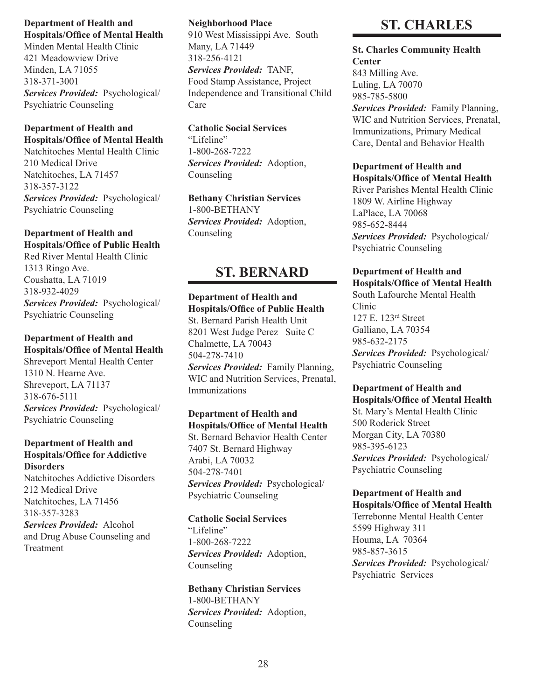Minden Mental Health Clinic 421 Meadowview Drive Minden, LA 71055 318-371-3001 *Services Provided:* Psychological/ Psychiatric Counseling

### **Department of Health and Hospitals/Office of Mental Health**

Natchitoches Mental Health Clinic 210 Medical Drive Natchitoches, LA 71457 318-357-3122 *Services Provided:* Psychological/ Psychiatric Counseling

## **Department of Health and Hospitals/Office of Public Health**

Red River Mental Health Clinic 1313 Ringo Ave. Coushatta, LA 71019 318-932-4029 *Services Provided:* Psychological/ Psychiatric Counseling

## **Department of Health and Hospitals/Office of Mental Health**

Shreveport Mental Health Center 1310 N. Hearne Ave. Shreveport, LA 71137 318-676-5111 *Services Provided:* Psychological/ Psychiatric Counseling

## **Department of Health and Hospitals/Office for Addictive Disorders**

Natchitoches Addictive Disorders 212 Medical Drive Natchitoches, LA 71456 318-357-3283 *Services Provided:* Alcohol and Drug Abuse Counseling and Treatment

## **Neighborhood Place**

910 West Mississippi Ave. South Many, LA 71449 318-256-4121 *Services Provided:* TANF, Food Stamp Assistance, Project Independence and Transitional Child Care

## **Catholic Social Services**

"Lifeline" 1-800-268-7222 *Services Provided:* Adoption, Counseling

## **Bethany Christian Services** 1-800-BETHANY *Services Provided:* Adoption,

Counseling

## **ST. BERNARD**

#### **Department of Health and Hospitals/Office of Public Health**

St. Bernard Parish Health Unit 8201 West Judge Perez Suite C Chalmette, LA 70043 504-278-7410 *Services Provided:* Family Planning, WIC and Nutrition Services, Prenatal, Immunizations

## **Department of Health and Hospitals/Office of Mental Health**

St. Bernard Behavior Health Center 7407 St. Bernard Highway Arabi, LA 70032 504-278-7401 *Services Provided:* Psychological/ Psychiatric Counseling

## **Catholic Social Services**

"Lifeline" 1-800-268-7222 *Services Provided:* Adoption, Counseling

**Bethany Christian Services** 1-800-BETHANY *Services Provided:* Adoption, Counseling

## **ST. CHARLES**

**St. Charles Community Health Center** 843 Milling Ave. Luling, LA 70070

985-785-5800

*Services Provided:* Family Planning, WIC and Nutrition Services, Prenatal, Immunizations, Primary Medical Care, Dental and Behavior Health

## **Department of Health and**

**Hospitals/Office of Mental Health** River Parishes Mental Health Clinic 1809 W. Airline Highway LaPlace, LA 70068 985-652-8444 *Services Provided:* Psychological/ Psychiatric Counseling

### **Department of Health and Hospitals/Office of Mental Health**

South Lafourche Mental Health Clinic 127 E. 123rd Street Galliano, LA 70354 985-632-2175 *Services Provided:* Psychological/ Psychiatric Counseling

## **Department of Health and**

**Hospitals/Office of Mental Health** St. Mary's Mental Health Clinic 500 Roderick Street Morgan City, LA 70380 985-395-6123 *Services Provided:* Psychological/ Psychiatric Counseling

#### **Department of Health and Hospitals/Office of Mental Health**

Terrebonne Mental Health Center 5599 Highway 311 Houma, LA 70364 985-857-3615 *Services Provided:* Psychological/ Psychiatric Services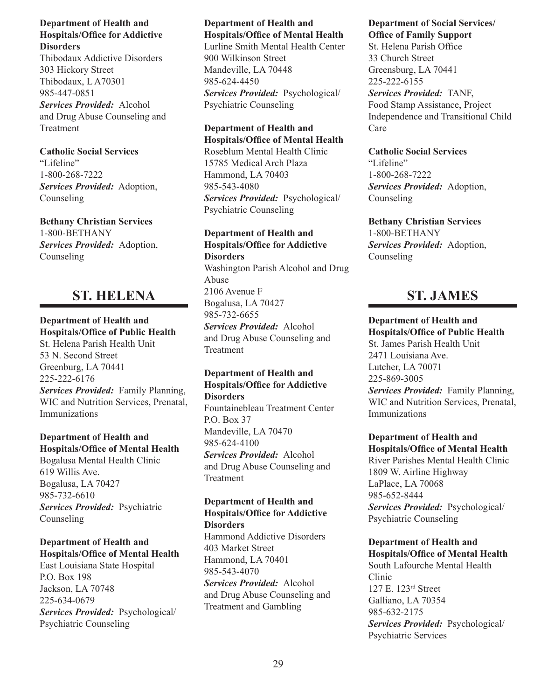Thibodaux Addictive Disorders 303 Hickory Street Thibodaux, L A70301 985-447-0851 *Services Provided:* Alcohol and Drug Abuse Counseling and Treatment

**Catholic Social Services** "Lifeline" 1-800-268-7222 *Services Provided:* Adoption, Counseling

**Bethany Christian Services** 1-800-BETHANY *Services Provided:* Adoption, Counseling

## **ST. HELENA**

## **Department of Health and**

**Hospitals/Office of Public Health** St. Helena Parish Health Unit 53 N. Second Street Greenburg, LA 70441 225-222-6176

*Services Provided:* Family Planning, WIC and Nutrition Services, Prenatal, Immunizations

## **Department of Health and Hospitals/Office of Mental Health**

Bogalusa Mental Health Clinic 619 Willis Ave. Bogalusa, LA 70427 985-732-6610 *Services Provided:* Psychiatric Counseling

## **Department of Health and Hospitals/Office of Mental Health**

East Louisiana State Hospital P.O. Box 198 Jackson, LA 70748 225-634-0679 *Services Provided:* Psychological/ Psychiatric Counseling

## **Department of Health and Hospitals/Office of Mental Health**

Lurline Smith Mental Health Center 900 Wilkinson Street Mandeville, LA 70448 985-624-4450 *Services Provided:* Psychological/ Psychiatric Counseling

## **Department of Health and Hospitals/Office of Mental Health**

Roseblum Mental Health Clinic 15785 Medical Arch Plaza Hammond, LA 70403 985-543-4080 *Services Provided:* Psychological/ Psychiatric Counseling

## **Department of Health and Hospitals/Office for Addictive Disorders**

Washington Parish Alcohol and Drug Abuse 2106 Avenue F Bogalusa, LA 70427 985-732-6655 *Services Provided:* Alcohol and Drug Abuse Counseling and Treatment

## **Department of Health and Hospitals/Office for Addictive Disorders**

Fountainebleau Treatment Center P.O. Box 37 Mandeville, LA 70470 985-624-4100 *Services Provided:* Alcohol and Drug Abuse Counseling and Treatment

#### **Department of Health and Hospitals/Office for Addictive Disorders**

Hammond Addictive Disorders 403 Market Street Hammond, LA 70401 985-543-4070 *Services Provided:* Alcohol and Drug Abuse Counseling and Treatment and Gambling

## **Department of Social Services/ Office of Family Support**

St. Helena Parish Office 33 Church Street Greensburg, LA 70441 225-222-6155

*Services Provided:* TANF, Food Stamp Assistance, Project Independence and Transitional Child Care

## **Catholic Social Services**

"Lifeline" 1-800-268-7222 *Services Provided:* Adoption, Counseling

**Bethany Christian Services** 1-800-BETHANY *Services Provided:* Adoption, Counseling

## **ST. JAMES**

**Department of Health and Hospitals/Office of Public Health** St. James Parish Health Unit 2471 Louisiana Ave. Lutcher, LA 70071 225-869-3005 *Services Provided:* Family Planning, WIC and Nutrition Services, Prenatal, Immunizations

**Department of Health and Hospitals/Office of Mental Health** River Parishes Mental Health Clinic 1809 W. Airline Highway LaPlace, LA 70068 985-652-8444 *Services Provided:* Psychological/ Psychiatric Counseling

## **Department of Health and Hospitals/Office of Mental Health**

South Lafourche Mental Health Clinic 127 E. 123rd Street Galliano, LA 70354 985-632-2175 *Services Provided:* Psychological/ Psychiatric Services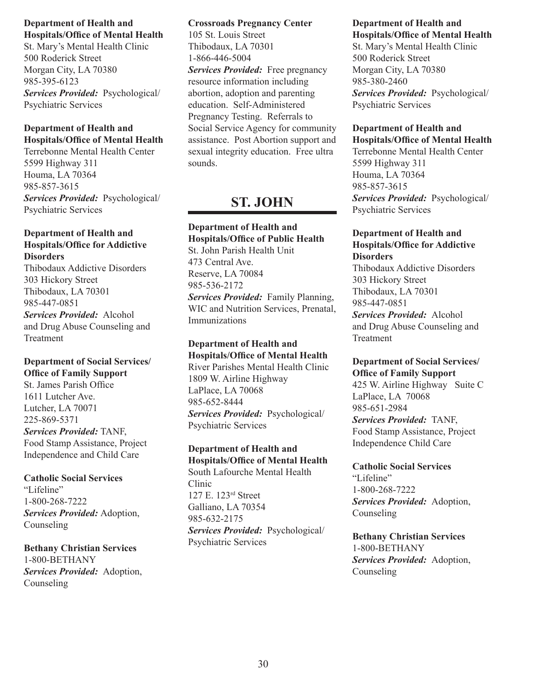St. Mary's Mental Health Clinic 500 Roderick Street Morgan City, LA 70380 985-395-6123 *Services Provided:* Psychological/ Psychiatric Services

## **Department of Health and Hospitals/Office of Mental Health**

Terrebonne Mental Health Center 5599 Highway 311 Houma, LA 70364 985-857-3615 *Services Provided:* Psychological/ Psychiatric Services

## **Department of Health and Hospitals/Office for Addictive Disorders**

Thibodaux Addictive Disorders 303 Hickory Street Thibodaux, LA 70301 985-447-0851 *Services Provided:* Alcohol and Drug Abuse Counseling and Treatment

## **Department of Social Services/ Office of Family Support**

St. James Parish Office 1611 Lutcher Ave. Lutcher, LA 70071 225-869-5371 *Services Provided:* TANF, Food Stamp Assistance, Project Independence and Child Care

## **Catholic Social Services**

"Lifeline" 1-800-268-7222 *Services Provided:* Adoption, Counseling

## **Bethany Christian Services** 1-800-BETHANY

*Services Provided:* Adoption, Counseling

## **Crossroads Pregnancy Center**

105 St. Louis Street Thibodaux, LA 70301 1-866-446-5004

*Services Provided:* Free pregnancy resource information including abortion, adoption and parenting education. Self-Administered Pregnancy Testing. Referrals to Social Service Agency for community assistance. Post Abortion support and sexual integrity education. Free ultra sounds.

## **ST. JOHN**

## **Department of Health and Hospitals/Office of Public Health** St. John Parish Health Unit 473 Central Ave. Reserve, LA 70084 985-536-2172

*Services Provided:* Family Planning, WIC and Nutrition Services, Prenatal, Immunizations

#### **Department of Health and Hospitals/Office of Mental Health** River Parishes Mental Health Clinic

1809 W. Airline Highway LaPlace, LA 70068 985-652-8444 *Services Provided:* Psychological/ Psychiatric Services

## **Department of Health and Hospitals/Office of Mental Health**

South Lafourche Mental Health Clinic 127 E. 123rd Street Galliano, LA 70354 985-632-2175 *Services Provided:* Psychological/ Psychiatric Services

#### **Department of Health and Hospitals/Office of Mental Health**

St. Mary's Mental Health Clinic 500 Roderick Street Morgan City, LA 70380 985-380-2460 *Services Provided:* Psychological/ Psychiatric Services

## **Department of Health and**

**Hospitals/Office of Mental Health** Terrebonne Mental Health Center 5599 Highway 311 Houma, LA 70364 985-857-3615 *Services Provided:* Psychological/ Psychiatric Services

## **Department of Health and Hospitals/Office for Addictive Disorders**

Thibodaux Addictive Disorders 303 Hickory Street Thibodaux, LA 70301 985-447-0851

*Services Provided:* Alcohol and Drug Abuse Counseling and Treatment

## **Department of Social Services/ Office of Family Support**

425 W. Airline Highway Suite C LaPlace, LA 70068 985-651-2984 *Services Provided:* TANF, Food Stamp Assistance, Project Independence Child Care

## **Catholic Social Services**

"Lifeline" 1-800-268-7222 *Services Provided:* Adoption, Counseling

**Bethany Christian Services** 1-800-BETHANY *Services Provided:* Adoption, Counseling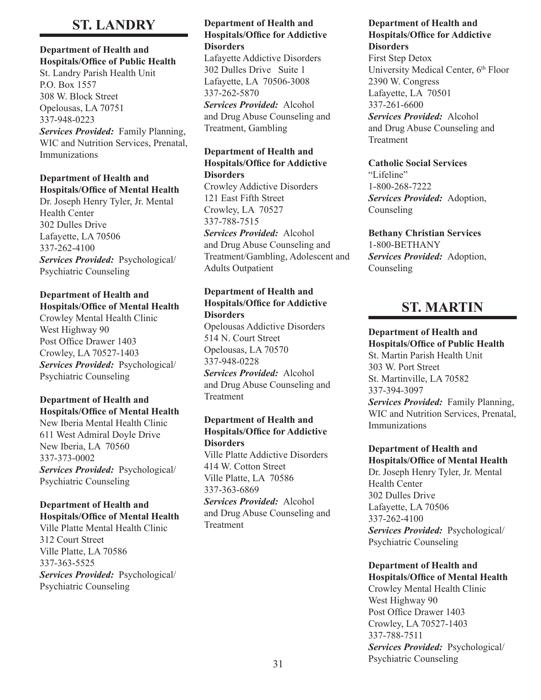## **ST. LANDRY**

#### **Department of Health and Hospitals/Office of Public Health**

St. Landry Parish Health Unit P.O. Box 1557 308 W. Block Street Opelousas, LA 70751 337-948-0223 *Services Provided:* Family Planning, WIC and Nutrition Services, Prenatal, Immunizations

## **Department of Health and Hospitals/Office of Mental Health**

Dr. Joseph Henry Tyler, Jr. Mental Health Center 302 Dulles Drive Lafayette, LA 70506 337-262-4100 *Services Provided:* Psychological/ Psychiatric Counseling

## **Department of Health and Hospitals/Office of Mental Health**

Crowley Mental Health Clinic West Highway 90 Post Office Drawer 1403 Crowley, LA 70527-1403 *Services Provided:* Psychological/ Psychiatric Counseling

### **Department of Health and Hospitals/Office of Mental Health**

New Iberia Mental Health Clinic 611 West Admiral Doyle Drive New Iberia, LA 70560 337-373-0002 *Services Provided:* Psychological/ Psychiatric Counseling

### **Department of Health and Hospitals/Office of Mental Health**

Ville Platte Mental Health Clinic 312 Court Street Ville Platte, LA 70586 337-363-5525 *Services Provided:* Psychological/ Psychiatric Counseling

## **Department of Health and Hospitals/Office for Addictive Disorders**

Lafayette Addictive Disorders 302 Dulles Drive Suite 1 Lafayette, LA 70506-3008 337-262-5870 *Services Provided:* Alcohol and Drug Abuse Counseling and Treatment, Gambling

### **Department of Health and Hospitals/Office for Addictive Disorders**

Crowley Addictive Disorders 121 East Fifth Street Crowley, LA 70527 337-788-7515 *Services Provided:* Alcohol and Drug Abuse Counseling and Treatment/Gambling, Adolescent and Adults Outpatient

## **Department of Health and Hospitals/Office for Addictive Disorders**

Opelousas Addictive Disorders 514 N. Court Street Opelousas, LA 70570 337-948-0228

*Services Provided:* Alcohol and Drug Abuse Counseling and Treatment

## **Department of Health and Hospitals/Office for Addictive Disorders**

Ville Platte Addictive Disorders 414 W. Cotton Street Ville Platte, LA 70586 337-363-6869

*Services Provided:* Alcohol and Drug Abuse Counseling and Treatment

## **Department of Health and Hospitals/Office for Addictive Disorders**

First Step Detox University Medical Center, 6<sup>th</sup> Floor 2390 W. Congress Lafayette, LA 70501 337-261-6600 *Services Provided:* Alcohol and Drug Abuse Counseling and Treatment

## **Catholic Social Services** "Lifeline" 1-800-268-7222 *Services Provided:* Adoption, Counseling

**Bethany Christian Services** 1-800-BETHANY *Services Provided:* Adoption, Counseling

## **ST. MARTIN**

## **Department of Health and**

**Hospitals/Office of Public Health** St. Martin Parish Health Unit 303 W. Port Street St. Martinville, LA 70582 337-394-3097 *Services Provided:* Family Planning, WIC and Nutrition Services, Prenatal, Immunizations

### **Department of Health and Hospitals/Office of Mental Health**

Dr. Joseph Henry Tyler, Jr. Mental Health Center 302 Dulles Drive Lafayette, LA 70506 337-262-4100 *Services Provided:* Psychological/ Psychiatric Counseling

#### **Department of Health and Hospitals/Office of Mental Health**

Crowley Mental Health Clinic West Highway 90 Post Office Drawer 1403 Crowley, LA 70527-1403 337-788-7511 *Services Provided:* Psychological/ Psychiatric Counseling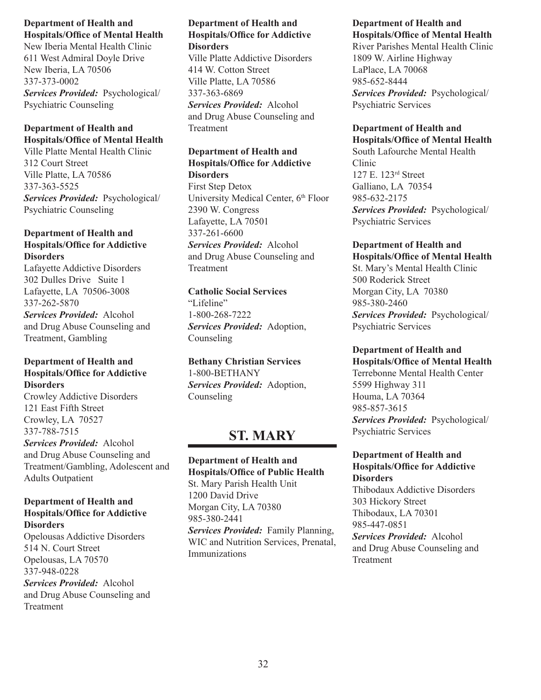New Iberia Mental Health Clinic 611 West Admiral Doyle Drive New Iberia, LA 70506 337-373-0002 *Services Provided:* Psychological/ Psychiatric Counseling

## **Department of Health and Hospitals/Office of Mental Health**

Ville Platte Mental Health Clinic 312 Court Street Ville Platte, LA 70586 337-363-5525 *Services Provided:* Psychological/ Psychiatric Counseling

## **Department of Health and Hospitals/Office for Addictive Disorders**

Lafayette Addictive Disorders 302 Dulles Drive Suite 1 Lafayette, LA 70506-3008 337-262-5870

*Services Provided:* Alcohol and Drug Abuse Counseling and Treatment, Gambling

## **Department of Health and Hospitals/Office for Addictive Disorders**

Crowley Addictive Disorders 121 East Fifth Street Crowley, LA 70527 337-788-7515 *Services Provided:* Alcohol and Drug Abuse Counseling and Treatment/Gambling, Adolescent and Adults Outpatient

## **Department of Health and Hospitals/Office for Addictive Disorders**

Opelousas Addictive Disorders 514 N. Court Street Opelousas, LA 70570 337-948-0228 *Services Provided:* Alcohol and Drug Abuse Counseling and Treatment

### **Department of Health and Hospitals/Office for Addictive Disorders**

Ville Platte Addictive Disorders 414 W. Cotton Street Ville Platte, LA 70586 337-363-6869 *Services Provided:* Alcohol and Drug Abuse Counseling and Treatment

## **Department of Health and Hospitals/Office for Addictive Disorders**

First Step Detox University Medical Center, 6<sup>th</sup> Floor 2390 W. Congress Lafayette, LA 70501 337-261-6600 *Services Provided:* Alcohol and Drug Abuse Counseling and Treatment

## **Catholic Social Services** "Lifeline" 1-800-268-7222 *Services Provided:* Adoption, Counseling

**Bethany Christian Services** 1-800-BETHANY *Services Provided:* Adoption, Counseling

## **ST. MARY**

**Department of Health and Hospitals/Office of Public Health** St. Mary Parish Health Unit 1200 David Drive Morgan City, LA 70380 985-380-2441 *Services Provided:* Family Planning, WIC and Nutrition Services, Prenatal, Immunizations

#### **Department of Health and Hospitals/Office of Mental Health**

River Parishes Mental Health Clinic 1809 W. Airline Highway LaPlace, LA 70068 985-652-8444 *Services Provided:* Psychological/ Psychiatric Services

## **Department of Health and**

**Hospitals/Office of Mental Health** South Lafourche Mental Health Clinic 127 E. 123rd Street Galliano, LA 70354 985-632-2175 *Services Provided:* Psychological/ Psychiatric Services

## **Department of Health and Hospitals/Office of Mental Health**

St. Mary's Mental Health Clinic 500 Roderick Street Morgan City, LA 70380 985-380-2460 *Services Provided:* Psychological/ Psychiatric Services

## **Department of Health and**

**Hospitals/Office of Mental Health** Terrebonne Mental Health Center 5599 Highway 311 Houma, LA 70364 985-857-3615 *Services Provided:* Psychological/ Psychiatric Services

## **Department of Health and Hospitals/Office for Addictive Disorders**

Thibodaux Addictive Disorders 303 Hickory Street Thibodaux, LA 70301 985-447-0851 *Services Provided:* Alcohol and Drug Abuse Counseling and Treatment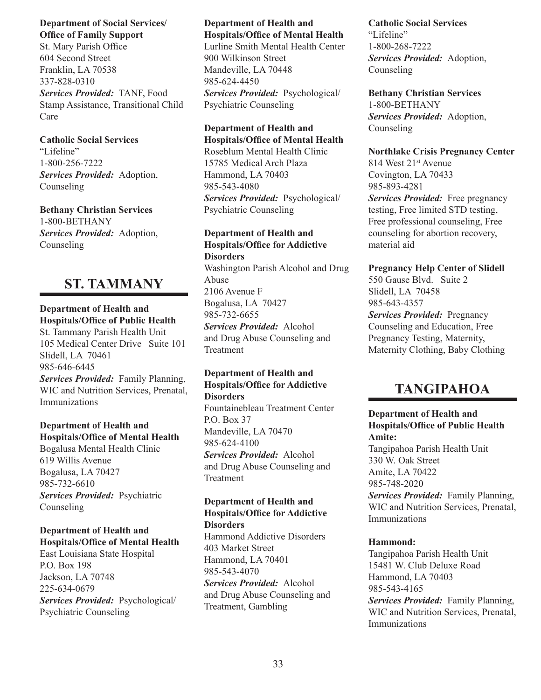## **Department of Social Services/ Office of Family Support**

St. Mary Parish Office 604 Second Street Franklin, LA 70538 337-828-0310 *Services Provided:* TANF, Food Stamp Assistance, Transitional Child Care

**Catholic Social Services** "Lifeline" 1-800-256-7222 *Services Provided:* Adoption, Counseling

**Bethany Christian Services** 1-800-BETHANY *Services Provided:* Adoption, Counseling

## **ST. TAMMANY**

## **Department of Health and Hospitals/Office of Public Health**

St. Tammany Parish Health Unit 105 Medical Center Drive Suite 101 Slidell, LA 70461 985-646-6445

*Services Provided:* Family Planning, WIC and Nutrition Services, Prenatal, Immunizations

## **Department of Health and Hospitals/Office of Mental Health** Bogalusa Mental Health Clinic

619 Willis Avenue Bogalusa, LA 70427 985-732-6610 *Services Provided:* Psychiatric Counseling

## **Department of Health and Hospitals/Office of Mental Health**

East Louisiana State Hospital P.O. Box 198 Jackson, LA 70748 225-634-0679 *Services Provided:* Psychological/ Psychiatric Counseling

## **Department of Health and Hospitals/Office of Mental Health**

Lurline Smith Mental Health Center 900 Wilkinson Street Mandeville, LA 70448 985-624-4450 *Services Provided:* Psychological/ Psychiatric Counseling

## **Department of Health and Hospitals/Office of Mental Health**

Roseblum Mental Health Clinic 15785 Medical Arch Plaza Hammond, LA 70403 985-543-4080 *Services Provided:* Psychological/

Psychiatric Counseling

## **Department of Health and Hospitals/Office for Addictive Disorders**

Washington Parish Alcohol and Drug Abuse 2106 Avenue F Bogalusa, LA 70427 985-732-6655 *Services Provided:* Alcohol and Drug Abuse Counseling and Treatment

## **Department of Health and Hospitals/Office for Addictive Disorders**

Fountainebleau Treatment Center P.O. Box 37 Mandeville, LA 70470 985-624-4100 *Services Provided:* Alcohol and Drug Abuse Counseling and Treatment

#### **Department of Health and Hospitals/Office for Addictive Disorders**

Hammond Addictive Disorders 403 Market Street Hammond, LA 70401 985-543-4070 *Services Provided:* Alcohol and Drug Abuse Counseling and Treatment, Gambling

#### **Catholic Social Services** "Lifeline"

1-800-268-7222 *Services Provided:* Adoption, Counseling

## **Bethany Christian Services**

1-800-BETHANY *Services Provided:* Adoption, Counseling

## **Northlake Crisis Pregnancy Center**

814 West 21st Avenue Covington, LA 70433 985-893-4281

*Services Provided:* Free pregnancy testing, Free limited STD testing, Free professional counseling, Free counseling for abortion recovery, material aid

**Pregnancy Help Center of Slidell** 550 Gause Blvd. Suite 2 Slidell, LA 70458 985-643-4357 *Services Provided:* Pregnancy Counseling and Education, Free

Pregnancy Testing, Maternity, Maternity Clothing, Baby Clothing

## **TANGIPAHOA**

## **Department of Health and Hospitals/Office of Public Health Amite:**

Tangipahoa Parish Health Unit 330 W. Oak Street Amite, LA 70422 985-748-2020

*Services Provided:* Family Planning, WIC and Nutrition Services, Prenatal, Immunizations

## **Hammond:**

Tangipahoa Parish Health Unit 15481 W. Club Deluxe Road Hammond, LA 70403 985-543-4165 *Services Provided:* Family Planning, WIC and Nutrition Services, Prenatal, Immunizations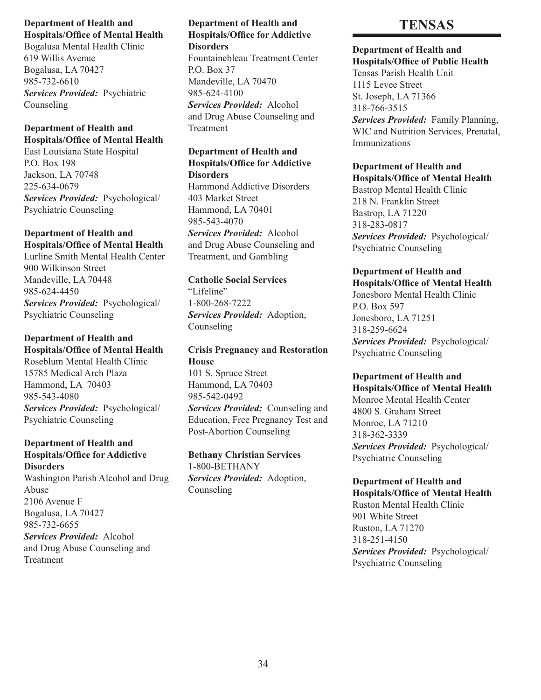Bogalusa Mental Health Clinic 619 Willis Avenue Bogalusa, LA 70427 985-732-6610 *Services Provided:* Psychiatric Counseling

## **Department of Health and Hospitals/Office of Mental Health**

East Louisiana State Hospital P.O. Box 198 Jackson, LA 70748 225-634-0679 *Services Provided:* Psychological/ Psychiatric Counseling

## **Department of Health and Hospitals/Office of Mental Health**

Lurline Smith Mental Health Center 900 Wilkinson Street Mandeville, LA 70448 985-624-4450 *Services Provided:* Psychological/ Psychiatric Counseling

## **Department of Health and Hospitals/Office of Mental Health**

Roseblum Mental Health Clinic 15785 Medical Arch Plaza Hammond, LA 70403 985-543-4080 *Services Provided:* Psychological/ Psychiatric Counseling

## **Department of Health and Hospitals/Office for Addictive**

**Disorders** Washington Parish Alcohol and Drug Abuse 2106 Avenue F Bogalusa, LA 70427 985-732-6655 *Services Provided:* Alcohol and Drug Abuse Counseling and Treatment

## **Department of Health and Hospitals/Office for Addictive Disorders**

Fountainebleau Treatment Center P.O. Box 37 Mandeville, LA 70470 985-624-4100 *Services Provided:* Alcohol and Drug Abuse Counseling and Treatment

### **Department of Health and Hospitals/Office for Addictive Disorders**

Hammond Addictive Disorders 403 Market Street Hammond, LA 70401 985-543-4070 *Services Provided:* Alcohol and Drug Abuse Counseling and Treatment, and Gambling

## **Catholic Social Services**

"Lifeline" 1-800-268-7222 *Services Provided:* Adoption, Counseling

## **Crisis Pregnancy and Restoration House**

101 S. Spruce Street Hammond, LA 70403 985-542-0492 *Services Provided:* Counseling and Education, Free Pregnancy Test and Post-Abortion Counseling

**Bethany Christian Services** 1-800-BETHANY *Services Provided:* Adoption, Counseling

## **TENSAS**

## **Department of Health and**

**Hospitals/Office of Public Health** Tensas Parish Health Unit 1115 Levee Street St. Joseph, LA 71366 318-766-3515 *Services Provided:* Family Planning, WIC and Nutrition Services, Prenatal, Immunizations

## **Department of Health and**

**Hospitals/Office of Mental Health** Bastrop Mental Health Clinic 218 N. Franklin Street Bastrop, LA 71220 318-283-0817 *Services Provided:* Psychological/ Psychiatric Counseling

## **Department of Health and**

**Hospitals/Office of Mental Health** Jonesboro Mental Health Clinic P.O. Box 597 Jonesboro, LA 71251 318-259-6624 *Services Provided:* Psychological/ Psychiatric Counseling

#### **Department of Health and Hospitals/Office of Mental Health**

Monroe Mental Health Center 4800 S. Graham Street Monroe, LA 71210 318-362-3339 *Services Provided:* Psychological/ Psychiatric Counseling

#### **Department of Health and Hospitals/Office of Mental Health**

Ruston Mental Health Clinic 901 White Street Ruston, LA 71270 318-251-4150 *Services Provided:* Psychological/ Psychiatric Counseling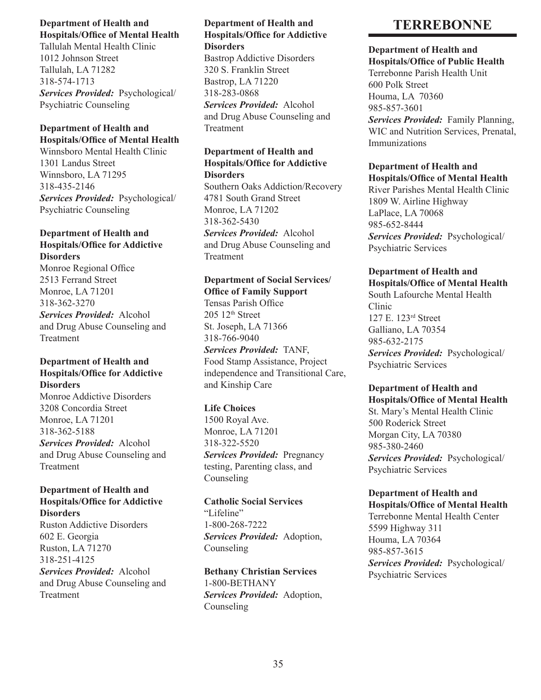Tallulah Mental Health Clinic 1012 Johnson Street Tallulah, LA 71282 318-574-1713 *Services Provided:* Psychological/ Psychiatric Counseling

## **Department of Health and Hospitals/Office of Mental Health**

Winnsboro Mental Health Clinic 1301 Landus Street Winnsboro, LA 71295 318-435-2146 *Services Provided:* Psychological/ Psychiatric Counseling

## **Department of Health and Hospitals/Office for Addictive Disorders**

Monroe Regional Office 2513 Ferrand Street Monroe, LA 71201 318-362-3270 *Services Provided:* Alcohol and Drug Abuse Counseling and Treatment

## **Department of Health and Hospitals/Office for Addictive Disorders**

Monroe Addictive Disorders 3208 Concordia Street Monroe, LA 71201 318-362-5188 *Services Provided:* Alcohol and Drug Abuse Counseling and Treatment

#### **Department of Health and Hospitals/Office for Addictive Disorders**

Ruston Addictive Disorders 602 E. Georgia Ruston, LA 71270 318-251-4125 *Services Provided:* Alcohol and Drug Abuse Counseling and Treatment

## **Department of Health and Hospitals/Office for Addictive Disorders**

Bastrop Addictive Disorders 320 S. Franklin Street Bastrop, LA 71220 318-283-0868 *Services Provided:* Alcohol and Drug Abuse Counseling and Treatment

## **Department of Health and Hospitals/Office for Addictive Disorders**

Southern Oaks Addiction/Recovery 4781 South Grand Street Monroe, LA 71202 318-362-5430 *Services Provided:* Alcohol and Drug Abuse Counseling and **Treatment** 

## **Department of Social Services/**

**Office of Family Support** Tensas Parish Office  $205$  12<sup>th</sup> Street St. Joseph, LA 71366 318-766-9040 *Services Provided:* TANF, Food Stamp Assistance, Project independence and Transitional Care, and Kinship Care

## **Life Choices**

1500 Royal Ave. Monroe, LA 71201 318-322-5520 *Services Provided:* Pregnancy testing, Parenting class, and Counseling

**Catholic Social Services** "Lifeline" 1-800-268-7222 *Services Provided:* Adoption, Counseling

**Bethany Christian Services** 1-800-BETHANY *Services Provided:* Adoption, Counseling

## **TERREBONNE**

#### **Department of Health and Hospitals/Office of Public Health**

Terrebonne Parish Health Unit 600 Polk Street Houma, LA 70360 985-857-3601 *Services Provided:* Family Planning, WIC and Nutrition Services, Prenatal, Immunizations

## **Department of Health and Hospitals/Office of Mental Health**

River Parishes Mental Health Clinic 1809 W. Airline Highway LaPlace, LA 70068 985-652-8444 *Services Provided:* Psychological/ Psychiatric Services

### **Department of Health and Hospitals/Office of Mental Health**

South Lafourche Mental Health Clinic 127 E. 123rd Street Galliano, LA 70354 985-632-2175 *Services Provided:* Psychological/ Psychiatric Services

### **Department of Health and Hospitals/Office of Mental Health**

St. Mary's Mental Health Clinic 500 Roderick Street Morgan City, LA 70380 985-380-2460 *Services Provided:* Psychological/ Psychiatric Services

## **Department of Health and Hospitals/Office of Mental Health**

Terrebonne Mental Health Center 5599 Highway 311 Houma, LA 70364 985-857-3615 *Services Provided:* Psychological/ Psychiatric Services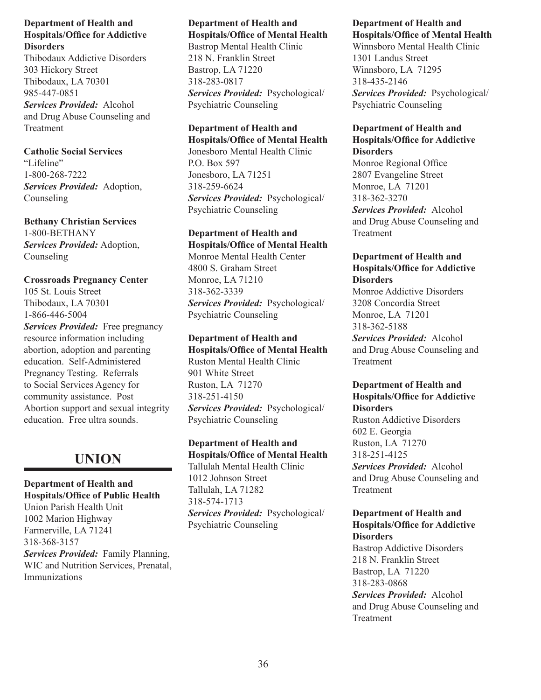Thibodaux Addictive Disorders 303 Hickory Street Thibodaux, LA 70301 985-447-0851 *Services Provided:* Alcohol and Drug Abuse Counseling and Treatment

## **Catholic Social Services**

"Lifeline" 1-800-268-7222 *Services Provided:* Adoption, Counseling

**Bethany Christian Services** 1-800-BETHANY *Services Provided:* Adoption, Counseling

**Crossroads Pregnancy Center** 105 St. Louis Street Thibodaux, LA 70301

1-866-446-5004 *Services Provided:* Free pregnancy resource information including abortion, adoption and parenting education. Self-Administered Pregnancy Testing. Referrals to Social Services Agency for community assistance. Post Abortion support and sexual integrity education. Free ultra sounds.

## **UNION**

**Department of Health and Hospitals/Office of Public Health** Union Parish Health Unit 1002 Marion Highway Farmerville, LA 71241 318-368-3157 *Services Provided:* Family Planning, WIC and Nutrition Services, Prenatal, Immunizations

## **Department of Health and Hospitals/Office of Mental Health**

Bastrop Mental Health Clinic 218 N. Franklin Street Bastrop, LA 71220 318-283-0817 *Services Provided:* Psychological/ Psychiatric Counseling

## **Department of Health and**

**Hospitals/Office of Mental Health** Jonesboro Mental Health Clinic P.O. Box 597 Jonesboro, LA 71251 318-259-6624 *Services Provided:* Psychological/ Psychiatric Counseling

#### **Department of Health and Hospitals/Office of Mental Health**

Monroe Mental Health Center 4800 S. Graham Street Monroe, LA 71210 318-362-3339 *Services Provided:* Psychological/ Psychiatric Counseling

**Department of Health and Hospitals/Office of Mental Health** Ruston Mental Health Clinic 901 White Street Ruston, LA 71270 318-251-4150 *Services Provided:* Psychological/ Psychiatric Counseling

**Department of Health and Hospitals/Office of Mental Health** Tallulah Mental Health Clinic 1012 Johnson Street Tallulah, LA 71282 318-574-1713 *Services Provided:* Psychological/ Psychiatric Counseling

### **Department of Health and Hospitals/Office of Mental Health**

Winnsboro Mental Health Clinic 1301 Landus Street Winnsboro, LA 71295 318-435-2146 *Services Provided:* Psychological/ Psychiatric Counseling

## **Department of Health and Hospitals/Office for Addictive Disorders**

Monroe Regional Office 2807 Evangeline Street Monroe, LA 71201 318-362-3270 *Services Provided:* Alcohol and Drug Abuse Counseling and Treatment

## **Department of Health and Hospitals/Office for Addictive Disorders**

Monroe Addictive Disorders 3208 Concordia Street Monroe, LA 71201 318-362-5188 *Services Provided:* Alcohol and Drug Abuse Counseling and Treatment

## **Department of Health and Hospitals/Office for Addictive Disorders**

Ruston Addictive Disorders 602 E. Georgia Ruston, LA 71270 318-251-4125 *Services Provided:* Alcohol and Drug Abuse Counseling and Treatment

## **Department of Health and Hospitals/Office for Addictive Disorders**

Bastrop Addictive Disorders 218 N. Franklin Street Bastrop, LA 71220 318-283-0868 *Services Provided:* Alcohol and Drug Abuse Counseling and Treatment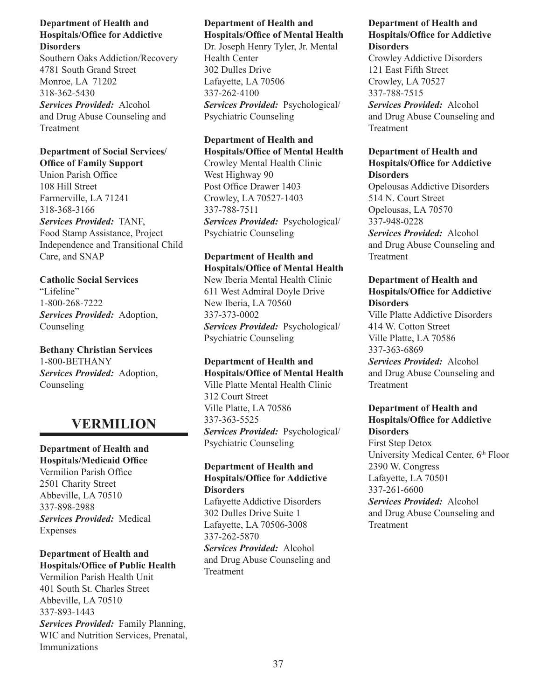Southern Oaks Addiction/Recovery 4781 South Grand Street Monroe, LA 71202 318-362-5430 *Services Provided:* Alcohol and Drug Abuse Counseling and Treatment

## **Department of Social Services/ Office of Family Support**

Union Parish Office 108 Hill Street Farmerville, LA 71241 318-368-3166 *Services Provided:* TANF, Food Stamp Assistance, Project Independence and Transitional Child Care, and SNAP

## **Catholic Social Services**

"Lifeline" 1-800-268-7222 *Services Provided:* Adoption, Counseling

## **Bethany Christian Services** 1-800-BETHANY *Services Provided:* Adoption, Counseling

## **VERMILION**

**Department of Health and Hospitals/Medicaid Office** Vermilion Parish Office 2501 Charity Street Abbeville, LA 70510 337-898-2988 *Services Provided:* Medical Expenses

## **Department of Health and Hospitals/Office of Public Health**

Vermilion Parish Health Unit 401 South St. Charles Street Abbeville, LA 70510 337-893-1443

*Services Provided:* Family Planning, WIC and Nutrition Services, Prenatal, Immunizations

## **Department of Health and Hospitals/Office of Mental Health**

Dr. Joseph Henry Tyler, Jr. Mental Health Center 302 Dulles Drive Lafayette, LA 70506 337-262-4100 *Services Provided:* Psychological/ Psychiatric Counseling

## **Department of Health and Hospitals/Office of Mental Health**

Crowley Mental Health Clinic West Highway 90 Post Office Drawer 1403 Crowley, LA 70527-1403 337-788-7511 *Services Provided:* Psychological/ Psychiatric Counseling

## **Department of Health and Hospitals/Office of Mental Health**

New Iberia Mental Health Clinic 611 West Admiral Doyle Drive New Iberia, LA 70560 337-373-0002 *Services Provided:* Psychological/ Psychiatric Counseling

## **Department of Health and Hospitals/Office of Mental Health**

Ville Platte Mental Health Clinic 312 Court Street Ville Platte, LA 70586 337-363-5525 *Services Provided:* Psychological/ Psychiatric Counseling

## **Department of Health and Hospitals/Office for Addictive Disorders**

Lafayette Addictive Disorders 302 Dulles Drive Suite 1 Lafayette, LA 70506-3008 337-262-5870

*Services Provided:* Alcohol and Drug Abuse Counseling and **Treatment** 

### **Department of Health and Hospitals/Office for Addictive Disorders**

Crowley Addictive Disorders 121 East Fifth Street Crowley, LA 70527 337-788-7515 *Services Provided:* Alcohol and Drug Abuse Counseling and Treatment

## **Department of Health and Hospitals/Office for Addictive Disorders**

Opelousas Addictive Disorders 514 N. Court Street Opelousas, LA 70570 337-948-0228 *Services Provided:* Alcohol and Drug Abuse Counseling and Treatment

## **Department of Health and Hospitals/Office for Addictive Disorders**

Ville Platte Addictive Disorders 414 W. Cotton Street Ville Platte, LA 70586 337-363-6869 *Services Provided:* Alcohol

and Drug Abuse Counseling and Treatment

## **Department of Health and Hospitals/Office for Addictive Disorders**

First Step Detox University Medical Center, 6<sup>th</sup> Floor 2390 W. Congress Lafayette, LA 70501 337-261-6600

*Services Provided:* Alcohol and Drug Abuse Counseling and Treatment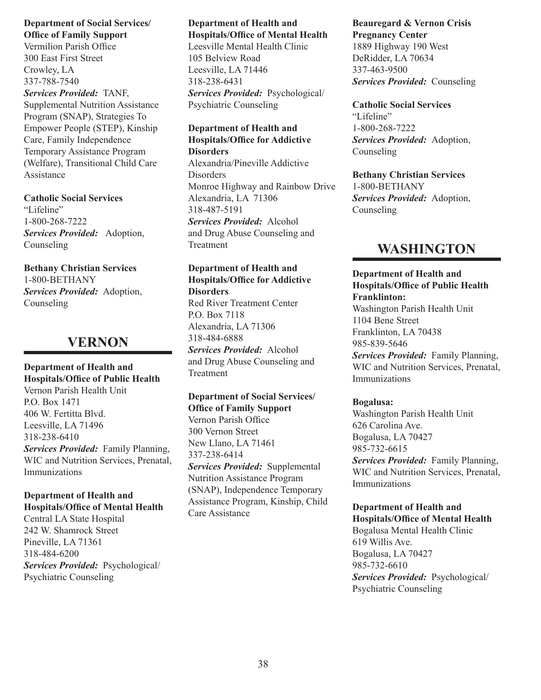### **Department of Social Services/ Office of Family Support**

Vermilion Parish Office 300 East First Street Crowley, LA 337-788-7540

*Services Provided:* TANF, Supplemental Nutrition Assistance Program (SNAP), Strategies To Empower People (STEP), Kinship Care, Family Independence Temporary Assistance Program (Welfare), Transitional Child Care Assistance

## **Catholic Social Services**

"Lifeline" 1-800-268-7222 *Services Provided:* Adoption, Counseling

## **Bethany Christian Services**

1-800-BETHANY *Services Provided:* Adoption, Counseling

## **VERNON**

**Department of Health and Hospitals/Office of Public Health** Vernon Parish Health Unit P.O. Box 1471 406 W. Fertitta Blvd. Leesville, LA 71496 318-238-6410 *Services Provided:* Family Planning, WIC and Nutrition Services, Prenatal, Immunizations

## **Department of Health and Hospitals/Office of Mental Health**

Central LA State Hospital 242 W. Shamrock Street Pineville, LA 71361 318-484-6200 *Services Provided:* Psychological/ Psychiatric Counseling

#### **Department of Health and Hospitals/Office of Mental Health**

Leesville Mental Health Clinic 105 Belview Road Leesville, LA 71446 318-238-6431 *Services Provided:* Psychological/ Psychiatric Counseling

#### **Department of Health and Hospitals/Office for Addictive Disorders**

Alexandria/Pineville Addictive Disorders Monroe Highway and Rainbow Drive Alexandria, LA 71306 318-487-5191 *Services Provided:* Alcohol and Drug Abuse Counseling and Treatment

#### **Department of Health and Hospitals/Office for Addictive Disorders**

Red River Treatment Center P.O. Box 7118 Alexandria, LA 71306 318-484-6888 *Services Provided:* Alcohol and Drug Abuse Counseling and Treatment

## **Department of Social Services/ Office of Family Support** Vernon Parish Office 300 Vernon Street

New Llano, LA 71461 337-238-6414 *Services Provided:* Supplemental Nutrition Assistance Program (SNAP), Independence Temporary Assistance Program, Kinship, Child Care Assistance

## **Beauregard & Vernon Crisis Pregnancy Center** 1889 Highway 190 West DeRidder, LA 70634 337-463-9500 *Services Provided:* Counseling

**Catholic Social Services** "Lifeline" 1-800-268-7222 *Services Provided:* Adoption, Counseling

**Bethany Christian Services** 1-800-BETHANY *Services Provided:* Adoption, Counseling

## **WASHINGTON**

## **Department of Health and Hospitals/Office of Public Health Franklinton:**

Washington Parish Health Unit 1104 Bene Street Franklinton, LA 70438 985-839-5646 *Services Provided:* Family Planning, WIC and Nutrition Services, Prenatal, Immunizations

## **Bogalusa:**

Washington Parish Health Unit 626 Carolina Ave. Bogalusa, LA 70427 985-732-6615 *Services Provided:* Family Planning, WIC and Nutrition Services, Prenatal, Immunizations

## **Department of Health and**

**Hospitals/Office of Mental Health** Bogalusa Mental Health Clinic 619 Willis Ave. Bogalusa, LA 70427 985-732-6610 *Services Provided:* Psychological/ Psychiatric Counseling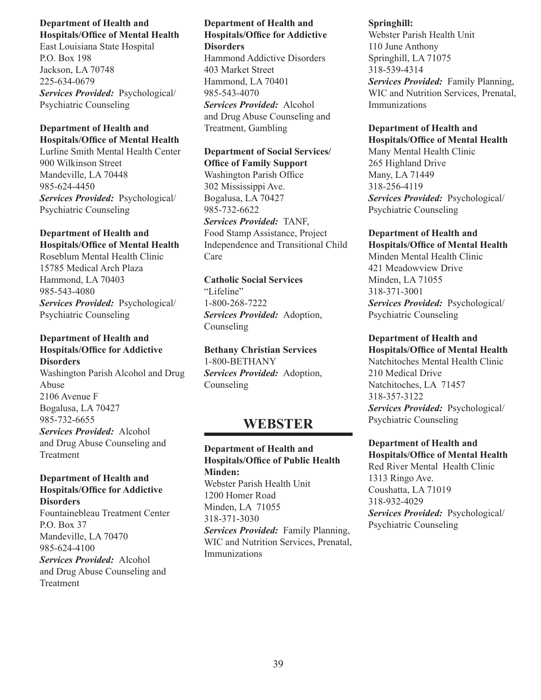East Louisiana State Hospital P.O. Box 198 Jackson, LA 70748 225-634-0679 *Services Provided:* Psychological/ Psychiatric Counseling

## **Department of Health and Hospitals/Office of Mental Health**

Lurline Smith Mental Health Center 900 Wilkinson Street Mandeville, LA 70448 985-624-4450 *Services Provided:* Psychological/ Psychiatric Counseling

## **Department of Health and Hospitals/Office of Mental Health**

Roseblum Mental Health Clinic 15785 Medical Arch Plaza Hammond, LA 70403 985-543-4080 *Services Provided:* Psychological/ Psychiatric Counseling

## **Department of Health and Hospitals/Office for Addictive Disorders**

Washington Parish Alcohol and Drug Abuse 2106 Avenue F Bogalusa, LA 70427 985-732-6655 *Services Provided:* Alcohol and Drug Abuse Counseling and Treatment

## **Department of Health and Hospitals/Office for Addictive Disorders**

Fountainebleau Treatment Center P.O. Box 37 Mandeville, LA 70470 985-624-4100 *Services Provided:* Alcohol and Drug Abuse Counseling and Treatment

## **Department of Health and Hospitals/Office for Addictive Disorders**

Hammond Addictive Disorders 403 Market Street Hammond, LA 70401 985-543-4070 *Services Provided:* Alcohol and Drug Abuse Counseling and Treatment, Gambling

## **Department of Social Services/ Office of Family Support**

Washington Parish Office 302 Mississippi Ave. Bogalusa, LA 70427 985-732-6622 *Services Provided:* TANF, Food Stamp Assistance, Project Independence and Transitional Child Care

## **Catholic Social Services** "Lifeline" 1-800-268-7222 *Services Provided:* Adoption, Counseling

**Bethany Christian Services** 1-800-BETHANY *Services Provided:* Adoption, Counseling

## **WEBSTER**

**Department of Health and Hospitals/Office of Public Health Minden:** Webster Parish Health Unit 1200 Homer Road Minden, LA 71055 318-371-3030 *Services Provided:* Family Planning, WIC and Nutrition Services, Prenatal, Immunizations

## **Springhill:**

Webster Parish Health Unit 110 June Anthony Springhill, LA 71075 318-539-4314 *Services Provided:* Family Planning,

WIC and Nutrition Services, Prenatal, Immunizations

### **Department of Health and Hospitals/Office of Mental Health**

Many Mental Health Clinic 265 Highland Drive Many, LA 71449 318-256-4119 *Services Provided:* Psychological/ Psychiatric Counseling

## **Department of Health and**

**Hospitals/Office of Mental Health** Minden Mental Health Clinic 421 Meadowview Drive Minden, LA 71055 318-371-3001 *Services Provided:* Psychological/ Psychiatric Counseling

## **Department of Health and**

**Hospitals/Office of Mental Health** Natchitoches Mental Health Clinic 210 Medical Drive Natchitoches, LA 71457 318-357-3122 *Services Provided:* Psychological/ Psychiatric Counseling

## **Department of Health and**

**Hospitals/Office of Mental Health** Red River Mental Health Clinic 1313 Ringo Ave. Coushatta, LA 71019 318-932-4029 *Services Provided:* Psychological/ Psychiatric Counseling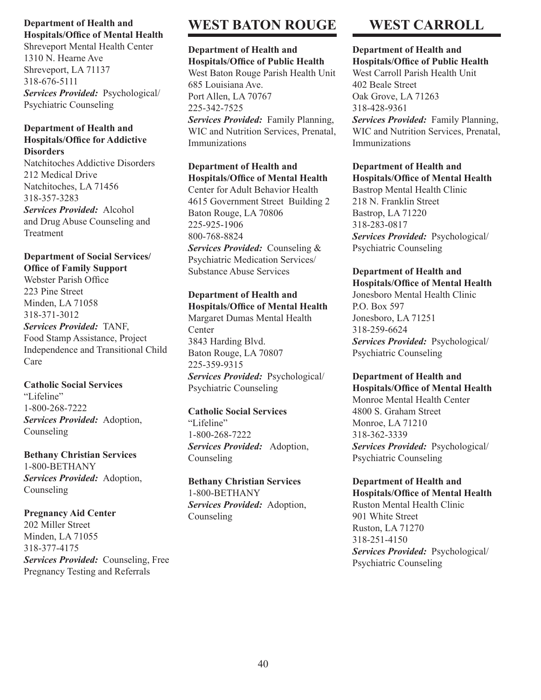Shreveport Mental Health Center 1310 N. Hearne Ave Shreveport, LA 71137 318-676-5111 *Services Provided:* Psychological/ Psychiatric Counseling

### **Department of Health and Hospitals/Office for Addictive Disorders**

Natchitoches Addictive Disorders 212 Medical Drive Natchitoches, LA 71456 318-357-3283 *Services Provided:* Alcohol and Drug Abuse Counseling and Treatment

## **Department of Social Services/ Office of Family Support**

Webster Parish Office 223 Pine Street Minden, LA 71058 318-371-3012

*Services Provided:* TANF, Food Stamp Assistance, Project Independence and Transitional Child Care

## **Catholic Social Services** "Lifeline" 1-800-268-7222 *Services Provided:* Adoption, Counseling

**Bethany Christian Services** 1-800-BETHANY *Services Provided:* Adoption, Counseling

## **Pregnancy Aid Center**

202 Miller Street Minden, LA 71055 318-377-4175 *Services Provided:* Counseling, Free Pregnancy Testing and Referrals

## **WEST BATON ROUGE**

## **Department of Health and Hospitals/Office of Public Health**

West Baton Rouge Parish Health Unit 685 Louisiana Ave. Port Allen, LA 70767 225-342-7525 *Services Provided:* Family Planning, WIC and Nutrition Services, Prenatal, Immunizations

#### **Department of Health and Hospitals/Office of Mental Health**

Center for Adult Behavior Health 4615 Government Street Building 2 Baton Rouge, LA 70806 225-925-1906 800-768-8824 *Services Provided:* Counseling & Psychiatric Medication Services/ Substance Abuse Services

## **Department of Health and**

**Hospitals/Office of Mental Health** Margaret Dumas Mental Health Center 3843 Harding Blvd. Baton Rouge, LA 70807 225-359-9315 *Services Provided:* Psychological/ Psychiatric Counseling

## **Catholic Social Services** "Lifeline" 1-800-268-7222

*Services Provided:* Adoption, Counseling

**Bethany Christian Services** 1-800-BETHANY *Services Provided:* Adoption, Counseling

## **WEST CARROLL**

#### **Department of Health and Hospitals/Office of Public Health**

West Carroll Parish Health Unit 402 Beale Street Oak Grove, LA 71263 318-428-9361 *Services Provided:* Family Planning, WIC and Nutrition Services, Prenatal, Immunizations

## **Department of Health and**

**Hospitals/Office of Mental Health** Bastrop Mental Health Clinic 218 N. Franklin Street Bastrop, LA 71220 318-283-0817 *Services Provided:* Psychological/ Psychiatric Counseling

## **Department of Health and**

**Hospitals/Office of Mental Health** Jonesboro Mental Health Clinic P.O. Box 597 Jonesboro, LA 71251 318-259-6624 *Services Provided:* Psychological/ Psychiatric Counseling

### **Department of Health and Hospitals/Office of Mental Health**

Monroe Mental Health Center 4800 S. Graham Street Monroe, LA 71210 318-362-3339 *Services Provided:* Psychological/ Psychiatric Counseling

#### **Department of Health and Hospitals/Office of Mental Health**

Ruston Mental Health Clinic 901 White Street Ruston, LA 71270 318-251-4150 *Services Provided:* Psychological/ Psychiatric Counseling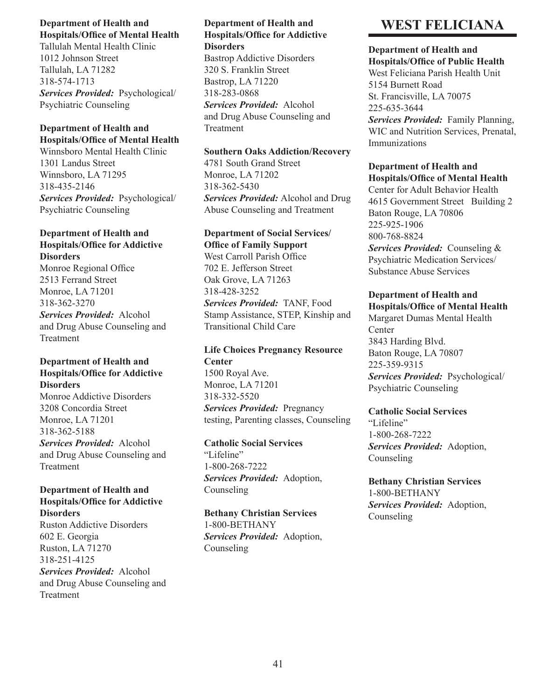Tallulah Mental Health Clinic 1012 Johnson Street Tallulah, LA 71282 318-574-1713 *Services Provided:* Psychological/ Psychiatric Counseling

## **Department of Health and Hospitals/Office of Mental Health**

Winnsboro Mental Health Clinic 1301 Landus Street Winnsboro, LA 71295 318-435-2146 *Services Provided:* Psychological/ Psychiatric Counseling

## **Department of Health and Hospitals/Office for Addictive Disorders**

Monroe Regional Office 2513 Ferrand Street Monroe, LA 71201 318-362-3270 *Services Provided:* Alcohol and Drug Abuse Counseling and Treatment

## **Department of Health and Hospitals/Office for Addictive Disorders**

Monroe Addictive Disorders 3208 Concordia Street Monroe, LA 71201 318-362-5188 *Services Provided:* Alcohol and Drug Abuse Counseling and Treatment

## **Department of Health and Hospitals/Office for Addictive Disorders**

Ruston Addictive Disorders 602 E. Georgia Ruston, LA 71270 318-251-4125 *Services Provided:* Alcohol and Drug Abuse Counseling and Treatment

## **Department of Health and Hospitals/Office for Addictive Disorders**

Bastrop Addictive Disorders 320 S. Franklin Street Bastrop, LA 71220 318-283-0868 *Services Provided:* Alcohol and Drug Abuse Counseling and Treatment

## **Southern Oaks Addiction/Recovery**

4781 South Grand Street Monroe, LA 71202 318-362-5430 *Services Provided:* Alcohol and Drug Abuse Counseling and Treatment

### **Department of Social Services/ Office of Family Support**

West Carroll Parish Office 702 E. Jefferson Street Oak Grove, LA 71263 318-428-3252 *Services Provided:* TANF, Food Stamp Assistance, STEP, Kinship and Transitional Child Care

## **Life Choices Pregnancy Resource Center**

1500 Royal Ave. Monroe, LA 71201 318-332-5520 *Services Provided:* Pregnancy testing, Parenting classes, Counseling

## **Catholic Social Services**

"Lifeline" 1-800-268-7222 *Services Provided:* Adoption, Counseling

## **Bethany Christian Services**

1-800-BETHANY *Services Provided:* Adoption, Counseling

## **WEST FELICIANA**

## **Department of Health and Hospitals/Office of Public Health**

West Feliciana Parish Health Unit 5154 Burnett Road St. Francisville, LA 70075 225-635-3644 *Services Provided:* Family Planning, WIC and Nutrition Services, Prenatal, Immunizations

## **Department of Health and Hospitals/Office of Mental Health**

Center for Adult Behavior Health 4615 Government Street Building 2 Baton Rouge, LA 70806 225-925-1906 800-768-8824

*Services Provided:* Counseling & Psychiatric Medication Services/ Substance Abuse Services

## **Department of Health and Hospitals/Office of Mental Health**

Margaret Dumas Mental Health **Center** 3843 Harding Blvd. Baton Rouge, LA 70807 225-359-9315

*Services Provided:* Psychological/ Psychiatric Counseling

## **Catholic Social Services** "Lifeline" 1-800-268-7222 *Services Provided:* Adoption, Counseling

**Bethany Christian Services** 1-800-BETHANY *Services Provided:* Adoption, Counseling